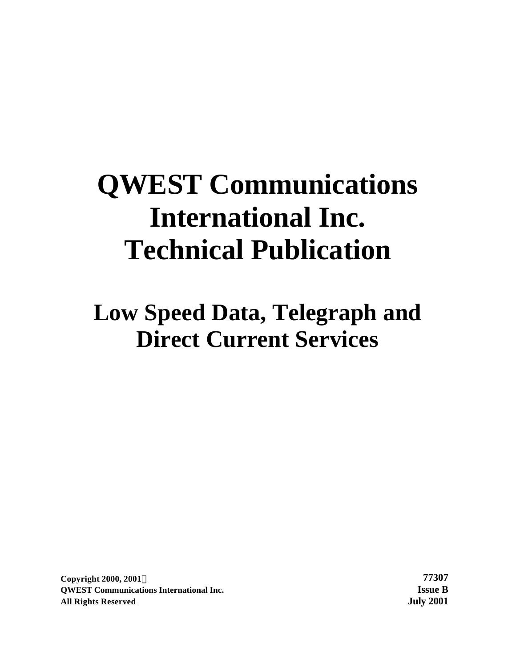# **QWEST Communications International Inc. Technical Publication**

**Low Speed Data, Telegraph and Direct Current Services**

**Copyright 2000, 2001Ó 77307 QWEST Communications International Inc. Issue B All Rights Reserved July 2001**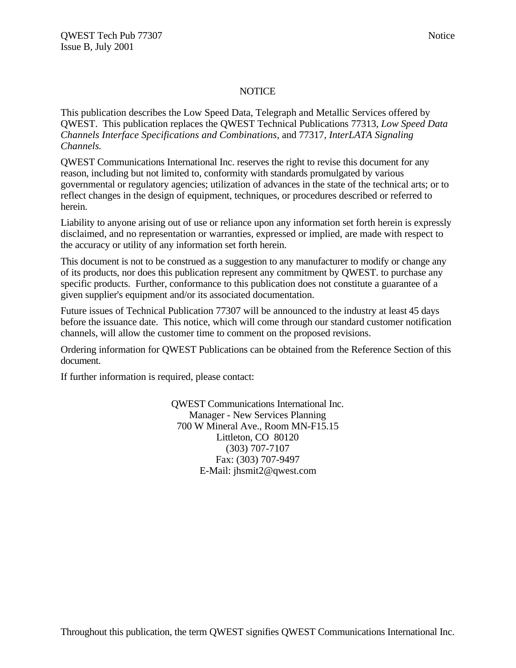#### NOTICE

This publication describes the Low Speed Data, Telegraph and Metallic Services offered by QWEST. This publication replaces the QWEST Technical Publications 77313, *Low Speed Data Channels Interface Specifications and Combinations*, and 77317, *InterLATA Signaling Channels.*

QWEST Communications International Inc. reserves the right to revise this document for any reason, including but not limited to, conformity with standards promulgated by various governmental or regulatory agencies; utilization of advances in the state of the technical arts; or to reflect changes in the design of equipment, techniques, or procedures described or referred to herein.

Liability to anyone arising out of use or reliance upon any information set forth herein is expressly disclaimed, and no representation or warranties, expressed or implied, are made with respect to the accuracy or utility of any information set forth herein.

This document is not to be construed as a suggestion to any manufacturer to modify or change any of its products, nor does this publication represent any commitment by QWEST. to purchase any specific products. Further, conformance to this publication does not constitute a guarantee of a given supplier's equipment and/or its associated documentation.

Future issues of Technical Publication 77307 will be announced to the industry at least 45 days before the issuance date. This notice, which will come through our standard customer notification channels, will allow the customer time to comment on the proposed revisions.

Ordering information for QWEST Publications can be obtained from the Reference Section of this document.

If further information is required, please contact:

QWEST Communications International Inc. Manager - New Services Planning 700 W Mineral Ave., Room MN-F15.15 Littleton, CO 80120 (303) 707-7107 Fax: (303) 707-9497 E-Mail: jhsmit2@qwest.com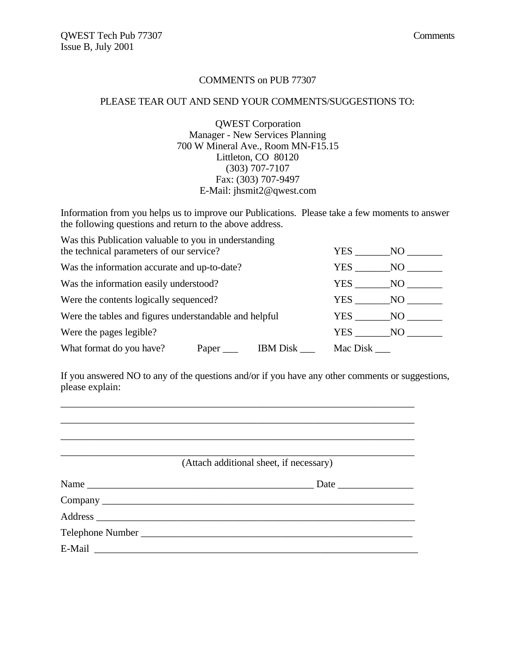#### COMMENTS on PUB 77307

#### PLEASE TEAR OUT AND SEND YOUR COMMENTS/SUGGESTIONS TO:

QWEST Corporation Manager - New Services Planning 700 W Mineral Ave., Room MN-F15.15 Littleton, CO 80120 (303) 707-7107 Fax: (303) 707-9497 E-Mail: jhsmit2@qwest.com

Information from you helps us to improve our Publications. Please take a few moments to answer the following questions and return to the above address.

| Was this Publication valuable to you in understanding<br>the technical parameters of our service? | <b>YES</b> | NO.        |     |  |  |  |
|---------------------------------------------------------------------------------------------------|------------|------------|-----|--|--|--|
| Was the information accurate and up-to-date?                                                      |            | YES.       | NO. |  |  |  |
| Was the information easily understood?                                                            |            | <b>YES</b> | NO. |  |  |  |
| Were the contents logically sequenced?                                                            |            | <b>YES</b> | NO. |  |  |  |
| Were the tables and figures understandable and helpful                                            |            |            | NO. |  |  |  |
| Were the pages legible?<br>YES<br>NO.                                                             |            |            |     |  |  |  |
| What format do you have?<br><b>IBM</b> Disk<br>Mac Disk<br>Paper                                  |            |            |     |  |  |  |

If you answered NO to any of the questions and/or if you have any other comments or suggestions, please explain:

| (Attach additional sheet, if necessary) |
|-----------------------------------------|
|                                         |
|                                         |
|                                         |
|                                         |
|                                         |

\_\_\_\_\_\_\_\_\_\_\_\_\_\_\_\_\_\_\_\_\_\_\_\_\_\_\_\_\_\_\_\_\_\_\_\_\_\_\_\_\_\_\_\_\_\_\_\_\_\_\_\_\_\_\_\_\_\_\_\_\_\_\_\_\_\_\_\_\_\_ \_\_\_\_\_\_\_\_\_\_\_\_\_\_\_\_\_\_\_\_\_\_\_\_\_\_\_\_\_\_\_\_\_\_\_\_\_\_\_\_\_\_\_\_\_\_\_\_\_\_\_\_\_\_\_\_\_\_\_\_\_\_\_\_\_\_\_\_\_\_ \_\_\_\_\_\_\_\_\_\_\_\_\_\_\_\_\_\_\_\_\_\_\_\_\_\_\_\_\_\_\_\_\_\_\_\_\_\_\_\_\_\_\_\_\_\_\_\_\_\_\_\_\_\_\_\_\_\_\_\_\_\_\_\_\_\_\_\_\_\_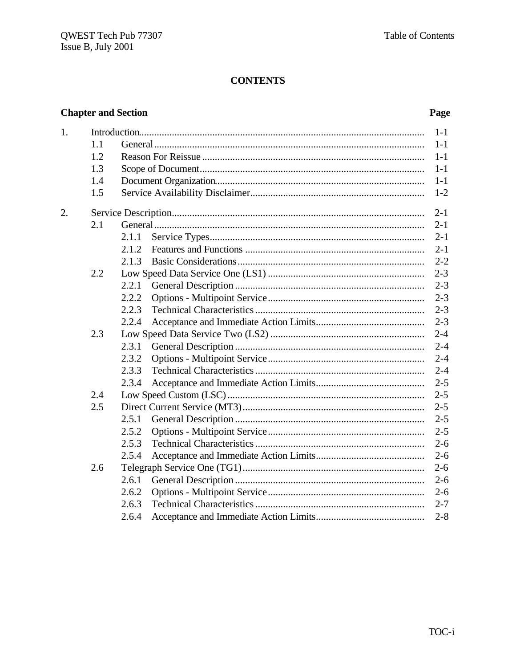#### **CONTENTS**

#### **Chapter and Section**

#### Page

| 1. |     |       | $1-1$   |
|----|-----|-------|---------|
|    | 1.1 |       | $1 - 1$ |
|    | 1.2 |       | $1-1$   |
|    | 1.3 |       | $1-1$   |
|    | 1.4 |       | $1-1$   |
|    | 1.5 |       | $1 - 2$ |
| 2. |     |       | $2 - 1$ |
|    | 2.1 |       | $2 - 1$ |
|    |     | 2.1.1 | $2 - 1$ |
|    |     | 2.1.2 | $2 - 1$ |
|    |     | 2.1.3 | $2 - 2$ |
|    | 2.2 |       | $2 - 3$ |
|    |     | 2.2.1 | $2 - 3$ |
|    |     | 2.2.2 | $2 - 3$ |
|    |     | 2.2.3 | $2 - 3$ |
|    |     | 2.2.4 | $2 - 3$ |
|    | 2.3 |       | $2 - 4$ |
|    |     | 2.3.1 | $2 - 4$ |
|    |     | 2.3.2 | $2 - 4$ |
|    |     | 2.3.3 | $2 - 4$ |
|    |     | 2.3.4 | $2 - 5$ |
|    | 2.4 |       | $2 - 5$ |
|    | 2.5 |       | $2 - 5$ |
|    |     | 2.5.1 | $2 - 5$ |
|    |     | 2.5.2 | $2 - 5$ |
|    |     | 2.5.3 | $2 - 6$ |
|    |     | 2.5.4 | $2 - 6$ |
|    | 2.6 |       | $2 - 6$ |
|    |     | 2.6.1 | $2 - 6$ |
|    |     | 2.6.2 | $2 - 6$ |
|    |     | 2.6.3 | $2 - 7$ |
|    |     | 2.6.4 | $2 - 8$ |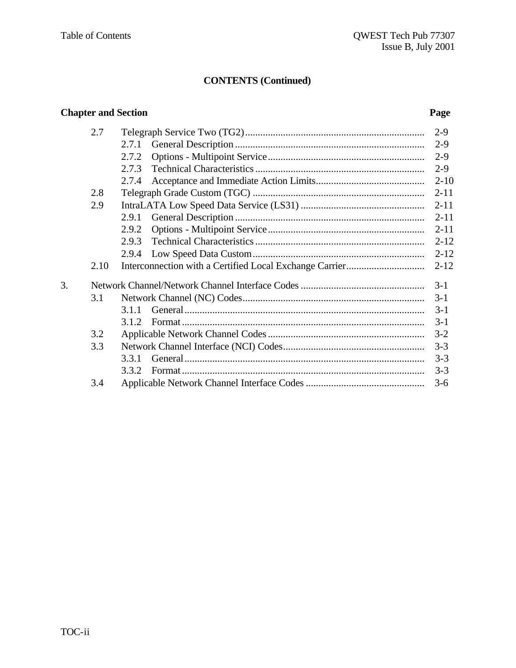#### **Chapter and Section Page** 2.7 Telegraph Service Two (TG2)....................................................................... 2-9 2.7.1 General Description ........................................................................... 2-9 2.7.2 Options - Multipoint Service.............................................................. 2-9 2.7.3 Technical Characteristics................................................................... 2-9 2.7.4 Acceptance and Immediate Action Limits........................................... 2-10 2.8 Telegraph Grade Custom (TGC) .................................................................... 2-11 2.9 IntraLATA Low Speed Data Service (LS31) ................................................. 2-11 2.9.1 General Description ........................................................................... 2-11 2.9.2 Options - Multipoint Service.............................................................. 2-11 2.9.3 Technical Characteristics................................................................... 2-12 2.9.4 Low Speed Data Custom.................................................................... 2-12 2.10 Interconnection with a Certified Local Exchange Carrier............................... 2-12 3. Network Channel/Network Channel Interface Codes................................................. 3-1 3.1 Network Channel (NC) Codes........................................................................ 3-1 3.1.1 General............................................................................................... 3-1 3.1.2 Format ................................................................................................ 3-1 3.2 Applicable Network Channel Codes.............................................................. 3-2 3.3 Network Channel Interface (NCI) Codes........................................................ 3-3 3.3.1 General............................................................................................... 3-3 3.3.2 Format ................................................................................................ 3-3 3.4 Applicable Network Channel Interface Codes............................................... 3-6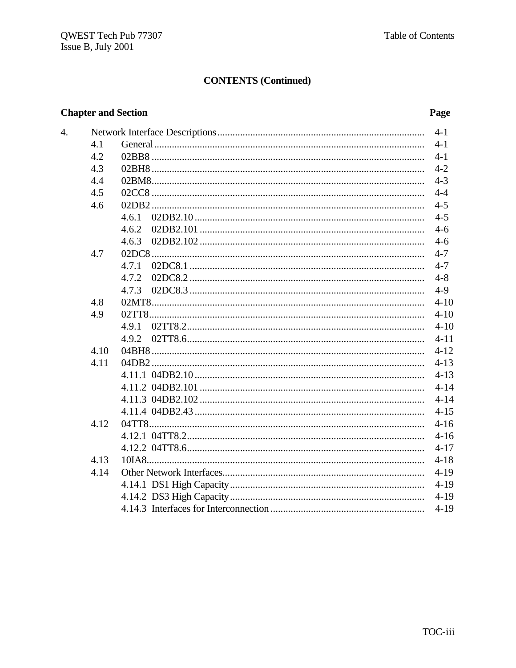#### **Chapter and Section**

4.

#### Page

|      |       | $4 - 1$  |
|------|-------|----------|
| 4.1  |       | $4-1$    |
| 4.2  |       | $4-1$    |
| 4.3  |       | $4 - 2$  |
| 4.4  |       | $4 - 3$  |
| 4.5  |       | $4 - 4$  |
| 4.6  |       | $4 - 5$  |
|      | 4.6.1 | $4 - 5$  |
|      | 4.6.2 | $4-6$    |
|      | 4.6.3 | $4-6$    |
| 4.7  |       | $4 - 7$  |
|      | 4.7.1 | $4 - 7$  |
|      | 4.7.2 | $4 - 8$  |
|      | 4.7.3 | $4-9$    |
| 4.8  |       | $4 - 10$ |
| 4.9  |       | $4 - 10$ |
|      | 4.9.1 | $4 - 10$ |
|      |       | $4 - 11$ |
| 4.10 |       | $4 - 12$ |
| 4.11 |       | $4 - 13$ |
|      |       | $4 - 13$ |
|      |       | $4 - 14$ |
|      |       | $4 - 14$ |
|      |       | $4 - 15$ |
| 4.12 |       | $4 - 16$ |
|      |       | $4 - 16$ |
|      |       | $4 - 17$ |
| 4.13 |       | $4 - 18$ |
| 4.14 |       | $4 - 19$ |
|      |       | $4-19$   |
|      |       | $4-19$   |
|      |       | $4 - 19$ |
|      |       |          |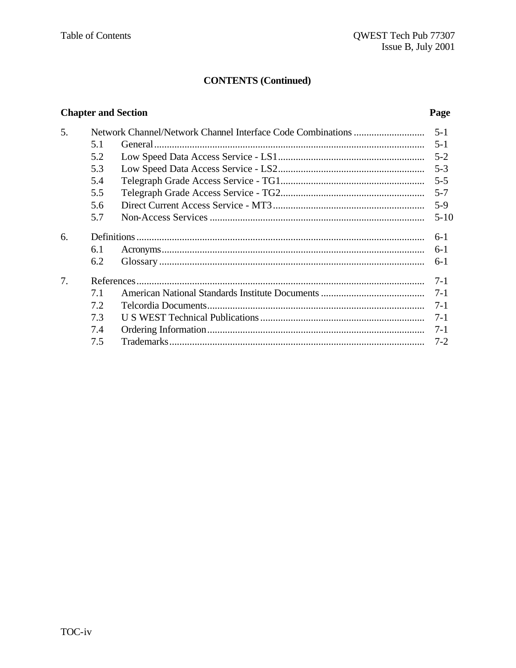#### **Chapter and Section**

#### Page

| 5. |     |  |          |  |  |
|----|-----|--|----------|--|--|
|    | 5.1 |  | $5-1$    |  |  |
|    | 5.2 |  |          |  |  |
|    | 5.3 |  |          |  |  |
|    | 5.4 |  |          |  |  |
|    | 5.5 |  | $5 - 7$  |  |  |
|    | 5.6 |  | $5-9$    |  |  |
|    | 5.7 |  | $5 - 10$ |  |  |
| 6. |     |  | $6-1$    |  |  |
|    | 6.1 |  | $6-1$    |  |  |
|    | 6.2 |  | $6-1$    |  |  |
| 7. |     |  | $7 - 1$  |  |  |
|    | 7.1 |  |          |  |  |
|    | 7.2 |  |          |  |  |
|    | 7.3 |  |          |  |  |
|    | 7.4 |  |          |  |  |
|    | 7.5 |  | $7 - 2$  |  |  |
|    |     |  |          |  |  |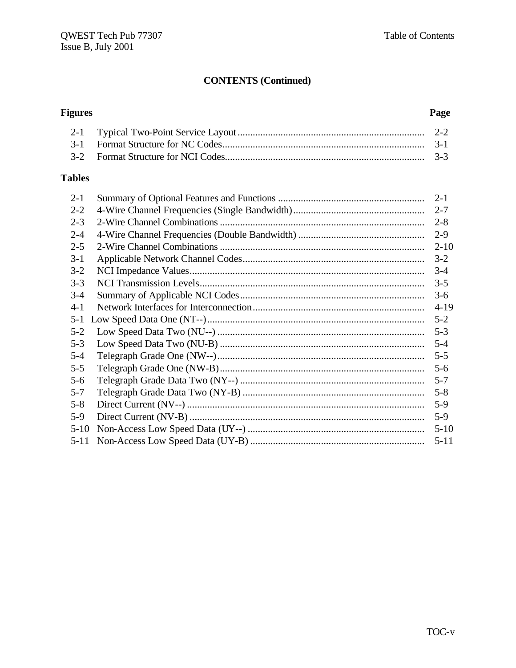Page

### **CONTENTS (Continued)**

## **Figures**

#### **Tables**

| $2 - 1$  | $2 - 1$  |
|----------|----------|
| $2 - 2$  | $2 - 7$  |
| $2 - 3$  | $2 - 8$  |
| $2 - 4$  | $2-9$    |
| $2 - 5$  | $2 - 10$ |
| $3 - 1$  | $3 - 2$  |
| $3 - 2$  | $3-4$    |
| $3 - 3$  | $3 - 5$  |
| $3-4$    | $3-6$    |
| $4 - 1$  | $4-19$   |
| $5 - 1$  | $5 - 2$  |
| $5 - 2$  | $5 - 3$  |
| $5 - 3$  | $5 - 4$  |
| $5 - 4$  | $5 - 5$  |
| $5 - 5$  | $5 - 6$  |
| $5 - 6$  | $5 - 7$  |
| $5 - 7$  | $5 - 8$  |
| $5 - 8$  | $5-9$    |
| $5-9$    | $5-9$    |
| $5-10$   | $5-10$   |
| $5 - 11$ | $5 - 11$ |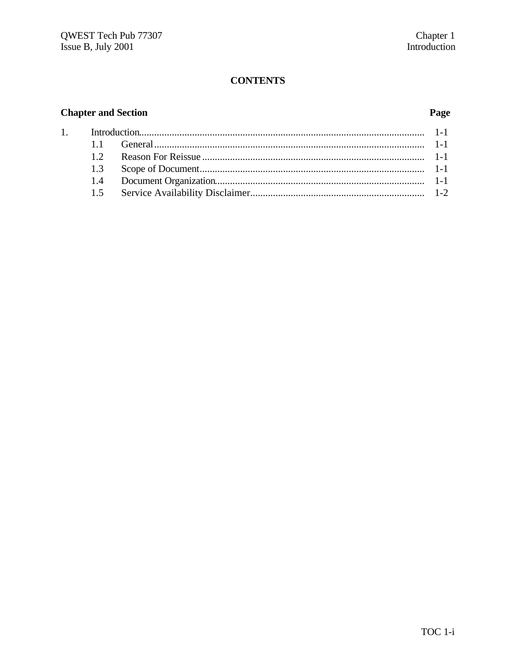#### **CONTENTS**

#### **Chapter and Section**

#### Page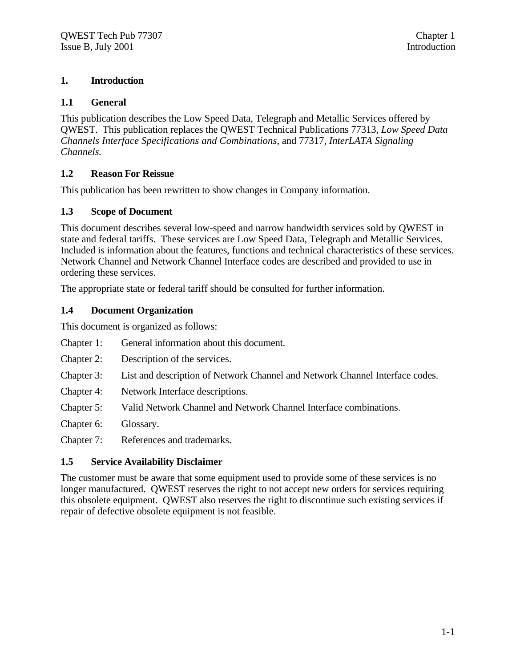#### **1. Introduction**

#### **1.1 General**

This publication describes the Low Speed Data, Telegraph and Metallic Services offered by QWEST. This publication replaces the QWEST Technical Publications 77313, *Low Speed Data Channels Interface Specifications and Combinations*, and 77317, *InterLATA Signaling Channels.*

#### **1.2 Reason For Reissue**

This publication has been rewritten to show changes in Company information.

#### **1.3 Scope of Document**

This document describes several low-speed and narrow bandwidth services sold by QWEST in state and federal tariffs. These services are Low Speed Data, Telegraph and Metallic Services. Included is information about the features, functions and technical characteristics of these services. Network Channel and Network Channel Interface codes are described and provided to use in ordering these services.

The appropriate state or federal tariff should be consulted for further information.

#### **1.4 Document Organization**

This document is organized as follows:

- Chapter 1: General information about this document.
- Chapter 2: Description of the services.
- Chapter 3: List and description of Network Channel and Network Channel Interface codes.
- Chapter 4: Network Interface descriptions.
- Chapter 5: Valid Network Channel and Network Channel Interface combinations.
- Chapter 6: Glossary.

Chapter 7: References and trademarks.

#### **1.5 Service Availability Disclaimer**

The customer must be aware that some equipment used to provide some of these services is no longer manufactured. QWEST reserves the right to not accept new orders for services requiring this obsolete equipment. QWEST also reserves the right to discontinue such existing services if repair of defective obsolete equipment is not feasible.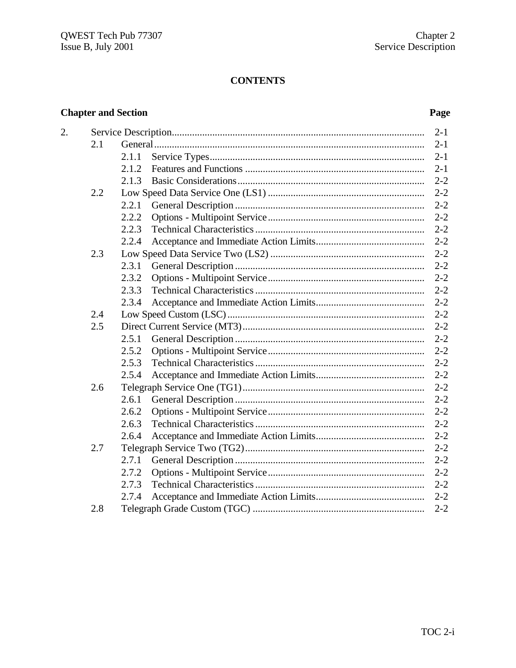#### **CONTENTS**

#### **Chapter and Section Page**

| 2. |     |       | $2 - 1$ |
|----|-----|-------|---------|
|    | 2.1 |       | $2 - 1$ |
|    |     | 2.1.1 | $2 - 1$ |
|    |     | 2.1.2 | $2 - 1$ |
|    |     | 2.1.3 | $2 - 2$ |
|    | 2.2 |       | $2 - 2$ |
|    |     | 2.2.1 | $2 - 2$ |
|    |     | 2.2.2 | $2 - 2$ |
|    |     | 2.2.3 | $2 - 2$ |
|    |     | 2.2.4 | $2 - 2$ |
|    | 2.3 |       | $2 - 2$ |
|    |     | 2.3.1 | $2 - 2$ |
|    |     | 2.3.2 | $2 - 2$ |
|    |     | 2.3.3 | $2 - 2$ |
|    |     | 2.3.4 | $2 - 2$ |
|    | 2.4 |       | $2 - 2$ |
|    | 2.5 |       | $2 - 2$ |
|    |     | 2.5.1 | $2 - 2$ |
|    |     | 2.5.2 | $2 - 2$ |
|    |     | 2.5.3 | $2 - 2$ |
|    |     | 2.5.4 | $2 - 2$ |
|    | 2.6 |       | $2 - 2$ |
|    |     | 2.6.1 | $2 - 2$ |
|    |     | 2.6.2 | $2 - 2$ |
|    |     | 2.6.3 | $2 - 2$ |
|    |     | 2.6.4 | $2 - 2$ |
|    | 2.7 |       | $2 - 2$ |
|    |     | 2.7.1 | $2 - 2$ |
|    |     | 2.7.2 | $2 - 2$ |
|    |     | 2.7.3 | $2 - 2$ |
|    |     | 2.7.4 | $2 - 2$ |
|    | 2.8 |       | $2 - 2$ |
|    |     |       |         |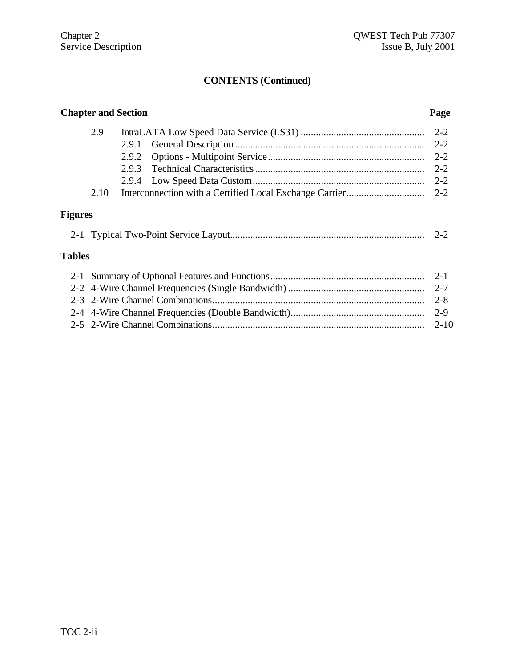### **Chapter and Section Page** 2.9 IntraLATA Low Speed Data Service (LS31) ................................................. 2-2 2.9.1 General Description ........................................................................... 2-2 2.9.2 Options - Multipoint Service.............................................................. 2-2 2.9.3 Technical Characteristics................................................................... 2-2 2.9.4 Low Speed Data Custom.................................................................... 2-2 2.10 Interconnection with a Certified Local Exchange Carrier............................... 2-2 **Figures**

|  |  | $\overline{\phantom{0}}$ |  |  |
|--|--|--------------------------|--|--|
|--|--|--------------------------|--|--|

#### **Tables**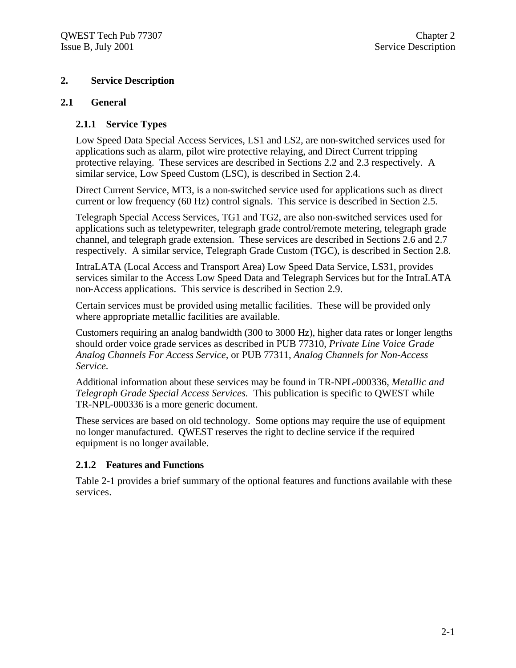#### **2. Service Description**

#### **2.1 General**

#### **2.1.1 Service Types**

Low Speed Data Special Access Services, LS1 and LS2, are non-switched services used for applications such as alarm, pilot wire protective relaying, and Direct Current tripping protective relaying. These services are described in Sections 2.2 and 2.3 respectively. A similar service, Low Speed Custom (LSC), is described in Section 2.4.

Direct Current Service, MT3, is a non-switched service used for applications such as direct current or low frequency (60 Hz) control signals. This service is described in Section 2.5.

Telegraph Special Access Services, TG1 and TG2, are also non-switched services used for applications such as teletypewriter, telegraph grade control/remote metering, telegraph grade channel, and telegraph grade extension. These services are described in Sections 2.6 and 2.7 respectively. A similar service, Telegraph Grade Custom (TGC), is described in Section 2.8.

IntraLATA (Local Access and Transport Area) Low Speed Data Service, LS31, provides services similar to the Access Low Speed Data and Telegraph Services but for the IntraLATA non-Access applications. This service is described in Section 2.9.

Certain services must be provided using metallic facilities. These will be provided only where appropriate metallic facilities are available.

Customers requiring an analog bandwidth (300 to 3000 Hz), higher data rates or longer lengths should order voice grade services as described in PUB 77310, *Private Line Voice Grade Analog Channels For Access Service,* or PUB 77311, *Analog Channels for Non-Access Service.*

Additional information about these services may be found in TR-NPL-000336, *Metallic and Telegraph Grade Special Access Services.* This publication is specific to QWEST while TR-NPL-000336 is a more generic document.

These services are based on old technology. Some options may require the use of equipment no longer manufactured. QWEST reserves the right to decline service if the required equipment is no longer available.

#### **2.1.2 Features and Functions**

Table 2-1 provides a brief summary of the optional features and functions available with these services.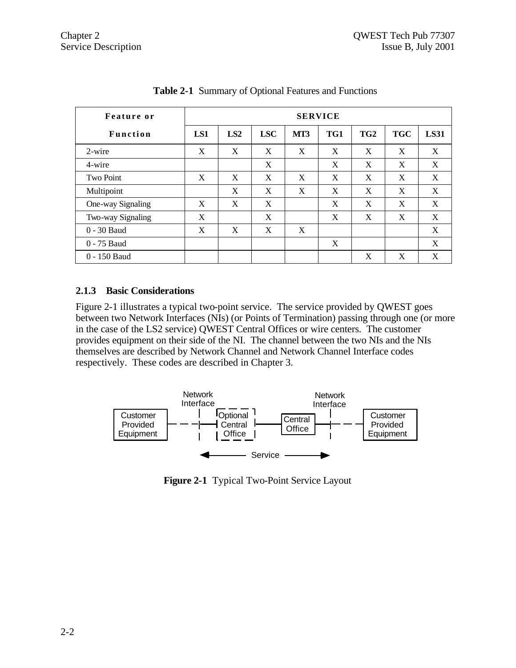| Feature or        | <b>SERVICE</b> |     |            |     |     |                 |            |             |
|-------------------|----------------|-----|------------|-----|-----|-----------------|------------|-------------|
| <b>Function</b>   | LS1            | LS2 | <b>LSC</b> | MT3 | TG1 | TG <sub>2</sub> | <b>TGC</b> | <b>LS31</b> |
| 2-wire            | X              | X   | X          | X   | X   | X               | X          | X           |
| 4-wire            |                |     | X          |     | X   | X               | X          | X           |
| <b>Two Point</b>  | X              | X   | X          | X   | X   | X               | X          | X           |
| Multipoint        |                | X   | X          | X   | X   | X               | X          | X           |
| One-way Signaling | X              | X   | X          |     | X   | X               | X          | X           |
| Two-way Signaling | X              |     | X          |     | X   | X               | X          | X           |
| 0 - 30 Baud       | X              | X   | X          | X   |     |                 |            | X           |
| 0 - 75 Baud       |                |     |            |     | X   |                 |            | X           |
| 0 - 150 Baud      |                |     |            |     |     | X               | X          | X           |

**Table 2-1** Summary of Optional Features and Functions

#### **2.1.3 Basic Considerations**

Figure 2-1 illustrates a typical two-point service. The service provided by QWEST goes between two Network Interfaces (NIs) (or Points of Termination) passing through one (or more in the case of the LS2 service) QWEST Central Offices or wire centers. The customer provides equipment on their side of the NI. The channel between the two NIs and the NIs themselves are described by Network Channel and Network Channel Interface codes respectively. These codes are described in Chapter 3.



**Figure 2-1** Typical Two-Point Service Layout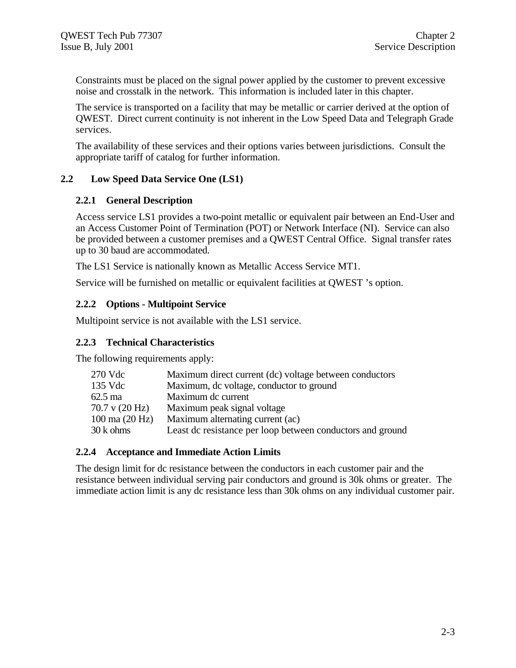Constraints must be placed on the signal power applied by the customer to prevent excessive noise and crosstalk in the network. This information is included later in this chapter.

The service is transported on a facility that may be metallic or carrier derived at the option of QWEST. Direct current continuity is not inherent in the Low Speed Data and Telegraph Grade services.

The availability of these services and their options varies between jurisdictions. Consult the appropriate tariff of catalog for further information.

#### **2.2 Low Speed Data Service One (LS1)**

#### **2.2.1 General Description**

Access service LS1 provides a two-point metallic or equivalent pair between an End-User and an Access Customer Point of Termination (POT) or Network Interface (NI). Service can also be provided between a customer premises and a QWEST Central Office. Signal transfer rates up to 30 baud are accommodated.

The LS1 Service is nationally known as Metallic Access Service MT1.

Service will be furnished on metallic or equivalent facilities at QWEST 's option.

#### **2.2.2 Options - Multipoint Service**

Multipoint service is not available with the LS1 service.

#### **2.2.3 Technical Characteristics**

The following requirements apply:

| 270 Vdc                          | Maximum direct current (dc) voltage between conductors     |
|----------------------------------|------------------------------------------------------------|
| 135 Vdc                          | Maximum, dc voltage, conductor to ground                   |
| $62.5 \text{ ma}$                | Maximum dc current                                         |
| $70.7$ v $(20 \text{ Hz})$       | Maximum peak signal voltage                                |
| $100 \text{ ma} (20 \text{ Hz})$ | Maximum alternating current (ac)                           |
| 30 k ohms                        | Least dc resistance per loop between conductors and ground |

#### **2.2.4 Acceptance and Immediate Action Limits**

The design limit for dc resistance between the conductors in each customer pair and the resistance between individual serving pair conductors and ground is 30k ohms or greater. The immediate action limit is any dc resistance less than 30k ohms on any individual customer pair.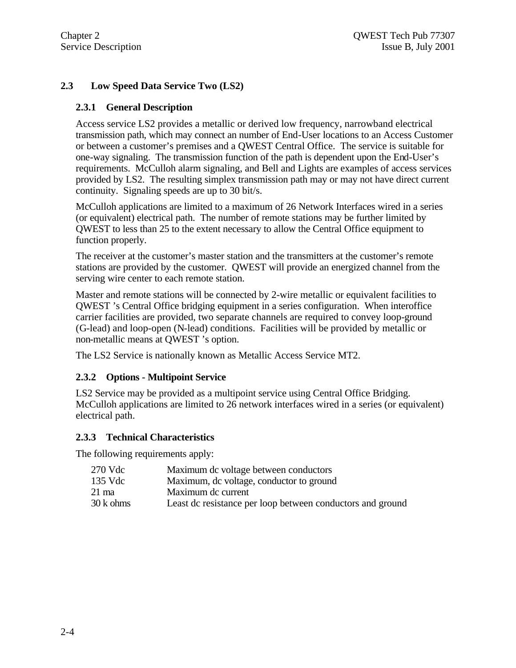#### **2.3 Low Speed Data Service Two (LS2)**

#### **2.3.1 General Description**

Access service LS2 provides a metallic or derived low frequency, narrowband electrical transmission path, which may connect an number of End-User locations to an Access Customer or between a customer's premises and a QWEST Central Office. The service is suitable for one-way signaling. The transmission function of the path is dependent upon the End-User's requirements. McCulloh alarm signaling, and Bell and Lights are examples of access services provided by LS2. The resulting simplex transmission path may or may not have direct current continuity. Signaling speeds are up to 30 bit/s.

McCulloh applications are limited to a maximum of 26 Network Interfaces wired in a series (or equivalent) electrical path. The number of remote stations may be further limited by QWEST to less than 25 to the extent necessary to allow the Central Office equipment to function properly.

The receiver at the customer's master station and the transmitters at the customer's remote stations are provided by the customer. QWEST will provide an energized channel from the serving wire center to each remote station.

Master and remote stations will be connected by 2-wire metallic or equivalent facilities to QWEST 's Central Office bridging equipment in a series configuration. When interoffice carrier facilities are provided, two separate channels are required to convey loop-ground (G-lead) and loop-open (N-lead) conditions. Facilities will be provided by metallic or non-metallic means at QWEST 's option.

The LS2 Service is nationally known as Metallic Access Service MT2.

#### **2.3.2 Options - Multipoint Service**

LS2 Service may be provided as a multipoint service using Central Office Bridging. McCulloh applications are limited to 26 network interfaces wired in a series (or equivalent) electrical path.

#### **2.3.3 Technical Characteristics**

The following requirements apply:

| 270 Vdc   | Maximum dc voltage between conductors                      |
|-----------|------------------------------------------------------------|
| 135 Vdc   | Maximum, dc voltage, conductor to ground                   |
| 21 ma     | Maximum de current                                         |
| 30 k ohms | Least dc resistance per loop between conductors and ground |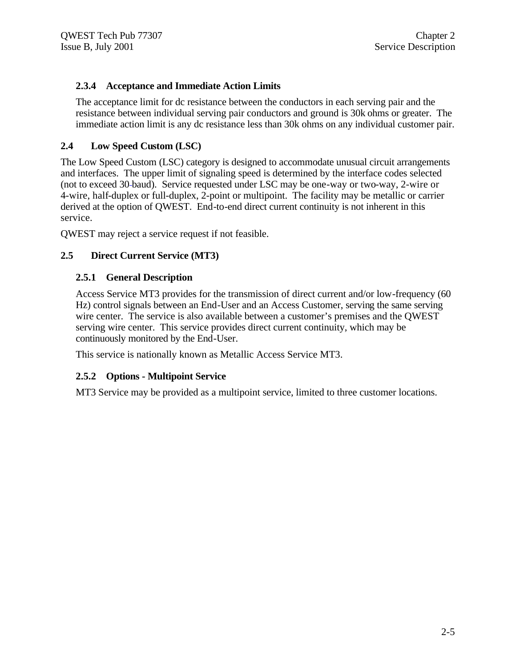#### **2.3.4 Acceptance and Immediate Action Limits**

The acceptance limit for dc resistance between the conductors in each serving pair and the resistance between individual serving pair conductors and ground is 30k ohms or greater. The immediate action limit is any dc resistance less than 30k ohms on any individual customer pair.

#### **2.4 Low Speed Custom (LSC)**

The Low Speed Custom (LSC) category is designed to accommodate unusual circuit arrangements and interfaces. The upper limit of signaling speed is determined by the interface codes selected (not to exceed 30 baud). Service requested under LSC may be one-way or two-way, 2-wire or 4-wire, half-duplex or full-duplex, 2-point or multipoint. The facility may be metallic or carrier derived at the option of QWEST. End-to-end direct current continuity is not inherent in this service.

QWEST may reject a service request if not feasible.

#### **2.5 Direct Current Service (MT3)**

#### **2.5.1 General Description**

Access Service MT3 provides for the transmission of direct current and/or low-frequency (60 Hz) control signals between an End-User and an Access Customer, serving the same serving wire center. The service is also available between a customer's premises and the QWEST serving wire center. This service provides direct current continuity, which may be continuously monitored by the End-User.

This service is nationally known as Metallic Access Service MT3.

#### **2.5.2 Options - Multipoint Service**

MT3 Service may be provided as a multipoint service, limited to three customer locations.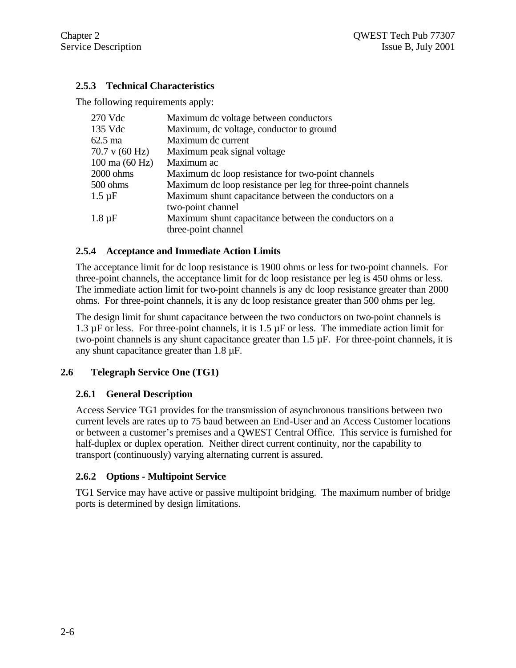#### **2.5.3 Technical Characteristics**

The following requirements apply:

| 270 Vdc                          | Maximum dc voltage between conductors                       |
|----------------------------------|-------------------------------------------------------------|
| 135 Vdc                          | Maximum, dc voltage, conductor to ground                    |
| $62.5 \text{ ma}$                | Maximum dc current                                          |
| 70.7 v (60 Hz)                   | Maximum peak signal voltage                                 |
| $100 \text{ ma} (60 \text{ Hz})$ | Maximum ac                                                  |
| 2000 ohms                        | Maximum de loop resistance for two-point channels           |
| 500 ohms                         | Maximum de loop resistance per leg for three-point channels |
| $1.5 \mu F$                      | Maximum shunt capacitance between the conductors on a       |
|                                  | two-point channel                                           |
| $1.8 \mu F$                      | Maximum shunt capacitance between the conductors on a       |
|                                  | three-point channel                                         |

#### **2.5.4 Acceptance and Immediate Action Limits**

The acceptance limit for dc loop resistance is 1900 ohms or less for two-point channels. For three-point channels, the acceptance limit for dc loop resistance per leg is 450 ohms or less. The immediate action limit for two-point channels is any dc loop resistance greater than 2000 ohms. For three-point channels, it is any dc loop resistance greater than 500 ohms per leg.

The design limit for shunt capacitance between the two conductors on two-point channels is 1.3  $\mu$ F or less. For three-point channels, it is 1.5  $\mu$ F or less. The immediate action limit for two-point channels is any shunt capacitance greater than 1.5 µF. For three-point channels, it is any shunt capacitance greater than 1.8 µF.

#### **2.6 Telegraph Service One (TG1)**

#### **2.6.1 General Description**

Access Service TG1 provides for the transmission of asynchronous transitions between two current levels are rates up to 75 baud between an End-User and an Access Customer locations or between a customer's premises and a QWEST Central Office. This service is furnished for half-duplex or duplex operation. Neither direct current continuity, nor the capability to transport (continuously) varying alternating current is assured.

#### **2.6.2 Options - Multipoint Service**

TG1 Service may have active or passive multipoint bridging. The maximum number of bridge ports is determined by design limitations.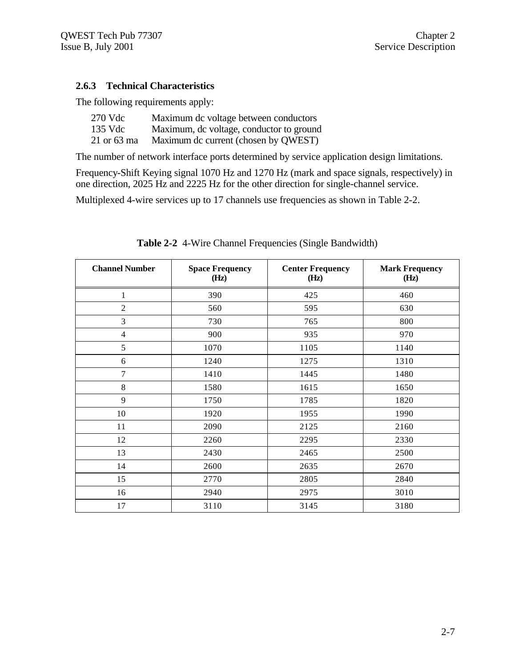#### **2.6.3 Technical Characteristics**

The following requirements apply:

| 270 Vdc     | Maximum dc voltage between conductors    |
|-------------|------------------------------------------|
| 135 Vdc     | Maximum, dc voltage, conductor to ground |
| 21 or 63 ma | Maximum dc current (chosen by QWEST)     |

The number of network interface ports determined by service application design limitations.

Frequency-Shift Keying signal 1070 Hz and 1270 Hz (mark and space signals, respectively) in one direction, 2025 Hz and 2225 Hz for the other direction for single-channel service.

Multiplexed 4-wire services up to 17 channels use frequencies as shown in Table 2-2.

| <b>Channel Number</b> | <b>Space Frequency</b><br>(Hz) | <b>Center Frequency</b><br>(Hz) | <b>Mark Frequency</b><br>(Hz) |
|-----------------------|--------------------------------|---------------------------------|-------------------------------|
| 1                     | 390                            | 425                             | 460                           |
| $\overline{2}$        | 560                            | 595                             | 630                           |
| 3                     | 730                            | 765                             | 800                           |
| $\overline{4}$        | 900                            | 935                             | 970                           |
| 5                     | 1070                           | 1105                            | 1140                          |
| 6                     | 1240                           | 1275                            | 1310                          |
| $\tau$                | 1410                           | 1445                            | 1480                          |
| 8                     | 1580                           | 1615                            | 1650                          |
| 9                     | 1750                           | 1785                            | 1820                          |
| 10                    | 1920                           | 1955                            | 1990                          |
| 11                    | 2090                           | 2125                            | 2160                          |
| 12                    | 2260                           | 2295                            | 2330                          |
| 13                    | 2430                           | 2465                            | 2500                          |
| 14                    | 2600                           | 2635                            | 2670                          |
| 15                    | 2770                           | 2805                            | 2840                          |
| 16                    | 2940                           | 2975                            | 3010                          |
| 17                    | 3110                           | 3145                            | 3180                          |

**Table 2-2** 4-Wire Channel Frequencies (Single Bandwidth)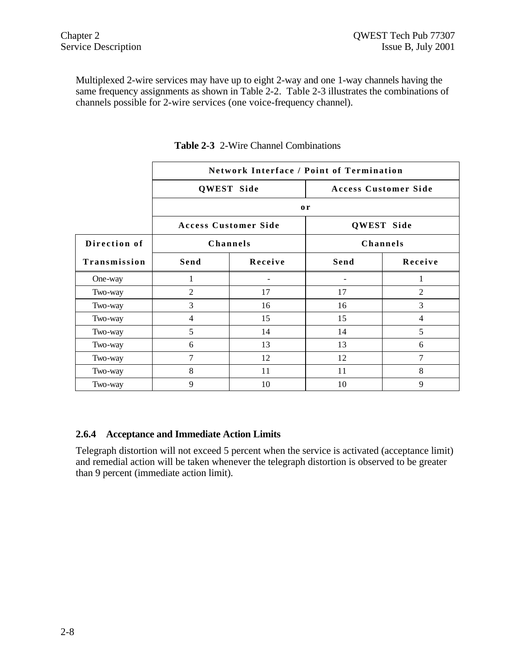Multiplexed 2-wire services may have up to eight 2-way and one 1-way channels having the same frequency assignments as shown in Table 2-2. Table 2-3 illustrates the combinations of channels possible for 2-wire services (one voice-frequency channel).

|              | <b>Network Interface / Point of Termination</b> |                             |                          |                             |  |  |  |
|--------------|-------------------------------------------------|-----------------------------|--------------------------|-----------------------------|--|--|--|
|              |                                                 | QWEST Side                  |                          | <b>Access Customer Side</b> |  |  |  |
|              |                                                 |                             | $\mathbf{0}$ r           |                             |  |  |  |
|              |                                                 | <b>Access Customer Side</b> | <b>QWEST Side</b>        |                             |  |  |  |
| Direction of |                                                 | Channels                    |                          | Channels                    |  |  |  |
| Transmission | Send                                            | Receive                     | Send                     | Receive                     |  |  |  |
| One-way      | 1                                               | ۰                           | $\overline{\phantom{0}}$ | 1                           |  |  |  |
| Two-way      | $\overline{c}$                                  | 17                          | 17                       | $\overline{2}$              |  |  |  |
| Two-way      | 3                                               | 16                          | 16                       | 3                           |  |  |  |
| Two-way      | 4                                               | 15                          | 15                       | $\overline{4}$              |  |  |  |
| Two-way      | 5                                               | 14                          | 14                       | 5                           |  |  |  |
| Two-way      | 6                                               | 13                          | 13                       | 6                           |  |  |  |
| Two-way      | 7                                               | 12                          | 12                       | 7                           |  |  |  |
| Two-way      | 8                                               | 11                          | 11                       | 8                           |  |  |  |
| Two-way      | 9                                               | 10                          | 10                       | 9                           |  |  |  |

**Table 2-3** 2-Wire Channel Combinations

#### **2.6.4 Acceptance and Immediate Action Limits**

Telegraph distortion will not exceed 5 percent when the service is activated (acceptance limit) and remedial action will be taken whenever the telegraph distortion is observed to be greater than 9 percent (immediate action limit).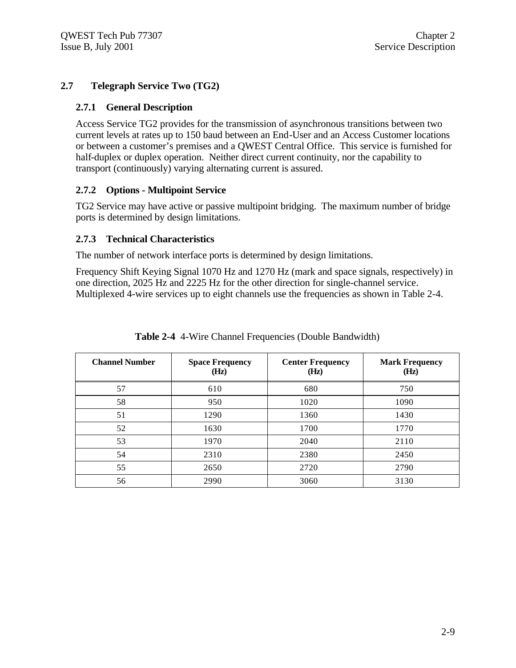#### **2.7 Telegraph Service Two (TG2)**

#### **2.7.1 General Description**

Access Service TG2 provides for the transmission of asynchronous transitions between two current levels at rates up to 150 baud between an End-User and an Access Customer locations or between a customer's premises and a QWEST Central Office. This service is furnished for half-duplex or duplex operation. Neither direct current continuity, nor the capability to transport (continuously) varying alternating current is assured.

#### **2.7.2 Options - Multipoint Service**

TG2 Service may have active or passive multipoint bridging. The maximum number of bridge ports is determined by design limitations.

#### **2.7.3 Technical Characteristics**

The number of network interface ports is determined by design limitations.

Frequency Shift Keying Signal 1070 Hz and 1270 Hz (mark and space signals, respectively) in one direction, 2025 Hz and 2225 Hz for the other direction for single-channel service. Multiplexed 4-wire services up to eight channels use the frequencies as shown in Table 2-4.

| <b>Channel Number</b> | <b>Space Frequency</b><br>(Hz) | <b>Center Frequency</b><br>(Hz) | <b>Mark Frequency</b><br>(Hz) |
|-----------------------|--------------------------------|---------------------------------|-------------------------------|
| 57                    | 610                            | 680                             | 750                           |
| 58                    | 950                            | 1020                            | 1090                          |
| 51                    | 1290                           | 1360                            | 1430                          |
| 52                    | 1630                           | 1700                            | 1770                          |
| 53                    | 1970                           | 2040                            | 2110                          |
| 54                    | 2310                           | 2380                            | 2450                          |
| 55                    | 2650                           | 2720                            | 2790                          |
| 56                    | 2990                           | 3060                            | 3130                          |

**Table 2-4** 4-Wire Channel Frequencies (Double Bandwidth)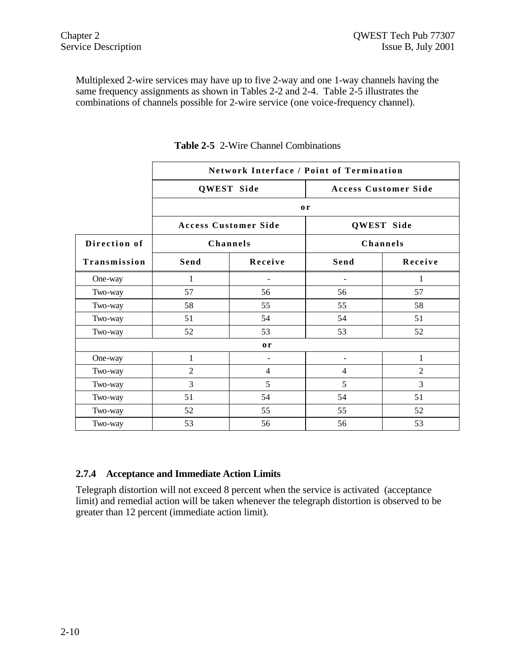Multiplexed 2-wire services may have up to five 2-way and one 1-way channels having the same frequency assignments as shown in Tables 2-2 and 2-4. Table 2-5 illustrates the combinations of channels possible for 2-wire service (one voice-frequency channel).

|              | <b>Network Interface / Point of Termination</b> |                             |                          |                             |  |  |  |
|--------------|-------------------------------------------------|-----------------------------|--------------------------|-----------------------------|--|--|--|
|              |                                                 | QWEST Side                  |                          | <b>Access Customer Side</b> |  |  |  |
|              |                                                 |                             | 0r                       |                             |  |  |  |
|              |                                                 | <b>Access Customer Side</b> |                          | QWEST Side                  |  |  |  |
| Direction of |                                                 | Channels                    |                          | Channels                    |  |  |  |
| Transmission | Send                                            | Receive                     | Send                     | Receive                     |  |  |  |
| One-way      | 1                                               |                             | $\blacksquare$           | 1                           |  |  |  |
| Two-way      | 57                                              | 56                          | 56                       | 57                          |  |  |  |
| Two-way      | 58                                              | 55                          | 55                       | 58                          |  |  |  |
| Two-way      | 51                                              | 54                          | 54                       | 51                          |  |  |  |
| Two-way      | 52                                              | 53                          | 53                       | 52                          |  |  |  |
|              |                                                 | or                          |                          |                             |  |  |  |
| One-way      | 1                                               |                             | $\overline{\phantom{a}}$ | 1                           |  |  |  |
| Two-way      | $\overline{2}$                                  | $\overline{4}$              | $\overline{4}$           | $\overline{2}$              |  |  |  |
| Two-way      | 3                                               | 5                           | 5                        | 3                           |  |  |  |
| Two-way      | 51                                              | 54                          | 54                       | 51                          |  |  |  |
| Two-way      | 52                                              | 55                          | 55                       | 52                          |  |  |  |
| Two-way      | 53                                              | 56                          | 56                       | 53                          |  |  |  |

**Table 2-5** 2-Wire Channel Combinations

#### **2.7.4 Acceptance and Immediate Action Limits**

Telegraph distortion will not exceed 8 percent when the service is activated (acceptance limit) and remedial action will be taken whenever the telegraph distortion is observed to be greater than 12 percent (immediate action limit).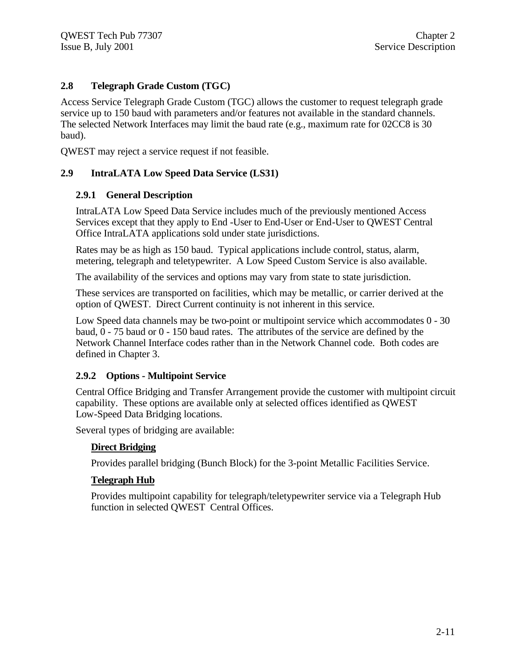#### **2.8 Telegraph Grade Custom (TGC)**

Access Service Telegraph Grade Custom (TGC) allows the customer to request telegraph grade service up to 150 baud with parameters and/or features not available in the standard channels. The selected Network Interfaces may limit the baud rate (e.g., maximum rate for 02CC8 is 30 baud).

QWEST may reject a service request if not feasible.

#### **2.9 IntraLATA Low Speed Data Service (LS31)**

#### **2.9.1 General Description**

IntraLATA Low Speed Data Service includes much of the previously mentioned Access Services except that they apply to End -User to End-User or End-User to QWEST Central Office IntraLATA applications sold under state jurisdictions.

Rates may be as high as 150 baud. Typical applications include control, status, alarm, metering, telegraph and teletypewriter. A Low Speed Custom Service is also available.

The availability of the services and options may vary from state to state jurisdiction.

These services are transported on facilities, which may be metallic, or carrier derived at the option of QWEST. Direct Current continuity is not inherent in this service.

Low Speed data channels may be two-point or multipoint service which accommodates 0 - 30 baud, 0 - 75 baud or 0 - 150 baud rates. The attributes of the service are defined by the Network Channel Interface codes rather than in the Network Channel code. Both codes are defined in Chapter 3.

#### **2.9.2 Options - Multipoint Service**

Central Office Bridging and Transfer Arrangement provide the customer with multipoint circuit capability. These options are available only at selected offices identified as QWEST Low-Speed Data Bridging locations.

Several types of bridging are available:

#### **Direct Bridging**

Provides parallel bridging (Bunch Block) for the 3-point Metallic Facilities Service.

#### **Telegraph Hub**

Provides multipoint capability for telegraph/teletypewriter service via a Telegraph Hub function in selected QWEST Central Offices.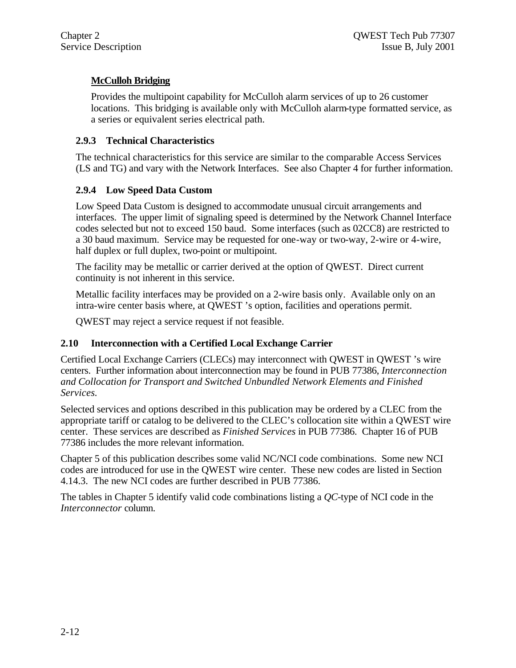#### **McCulloh Bridging**

Provides the multipoint capability for McCulloh alarm services of up to 26 customer locations. This bridging is available only with McCulloh alarm-type formatted service, as a series or equivalent series electrical path.

#### **2.9.3 Technical Characteristics**

The technical characteristics for this service are similar to the comparable Access Services (LS and TG) and vary with the Network Interfaces. See also Chapter 4 for further information.

#### **2.9.4 Low Speed Data Custom**

Low Speed Data Custom is designed to accommodate unusual circuit arrangements and interfaces. The upper limit of signaling speed is determined by the Network Channel Interface codes selected but not to exceed 150 baud. Some interfaces (such as 02CC8) are restricted to a 30 baud maximum. Service may be requested for one-way or two-way, 2-wire or 4-wire, half duplex or full duplex, two-point or multipoint.

The facility may be metallic or carrier derived at the option of QWEST. Direct current continuity is not inherent in this service.

Metallic facility interfaces may be provided on a 2-wire basis only. Available only on an intra-wire center basis where, at QWEST 's option, facilities and operations permit.

QWEST may reject a service request if not feasible.

#### **2.10 Interconnection with a Certified Local Exchange Carrier**

Certified Local Exchange Carriers (CLECs) may interconnect with QWEST in QWEST 's wire centers. Further information about interconnection may be found in PUB 77386, *Interconnection and Collocation for Transport and Switched Unbundled Network Elements and Finished Services.*

Selected services and options described in this publication may be ordered by a CLEC from the appropriate tariff or catalog to be delivered to the CLEC's collocation site within a QWEST wire center. These services are described as *Finished Services* in PUB 77386. Chapter 16 of PUB 77386 includes the more relevant information.

Chapter 5 of this publication describes some valid NC/NCI code combinations. Some new NCI codes are introduced for use in the QWEST wire center. These new codes are listed in Section 4.14.3. The new NCI codes are further described in PUB 77386.

The tables in Chapter 5 identify valid code combinations listing a *QC*-type of NCI code in the *Interconnector* column.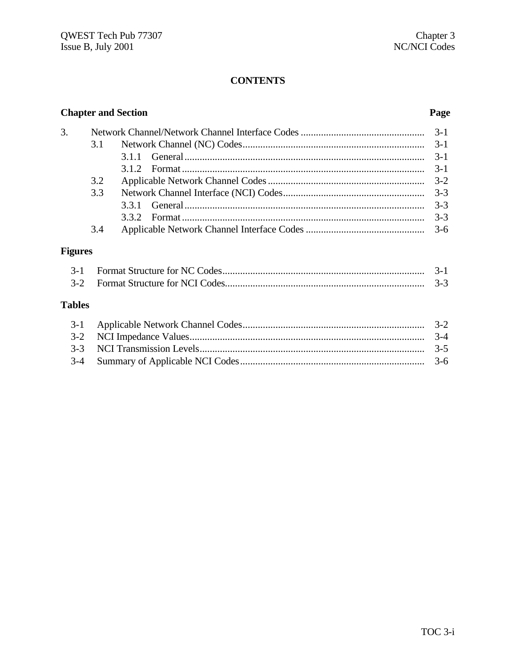#### **CONTENTS**

|                |     | <b>Chapter and Section</b> | Page    |  |  |  |
|----------------|-----|----------------------------|---------|--|--|--|
| 3.             |     |                            |         |  |  |  |
|                | 3.1 |                            | $3-1$   |  |  |  |
|                |     | 3.1.1                      | $3-1$   |  |  |  |
|                |     | 3.1.2                      | $3-1$   |  |  |  |
|                | 3.2 |                            | $3 - 2$ |  |  |  |
|                | 3.3 |                            | $3 - 3$ |  |  |  |
|                |     | 3.3.1                      | $3 - 3$ |  |  |  |
|                |     |                            | $3-3$   |  |  |  |
|                | 3.4 |                            | $3-6$   |  |  |  |
| <b>Figures</b> |     |                            |         |  |  |  |
| $3-1$          |     |                            | $3-1$   |  |  |  |
| $3-2$          |     |                            | $3-3$   |  |  |  |
| <b>Tables</b>  |     |                            |         |  |  |  |
| $3-1$          |     |                            | $3-2$   |  |  |  |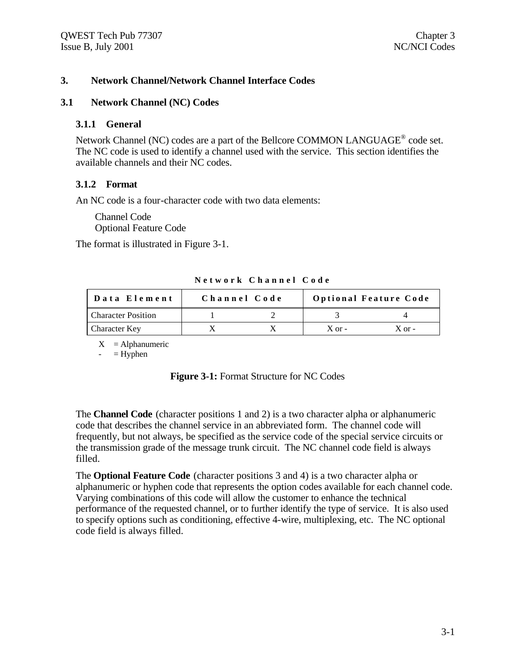#### **3. Network Channel/Network Channel Interface Codes**

#### **3.1 Network Channel (NC) Codes**

#### **3.1.1 General**

Network Channel (NC) codes are a part of the Bellcore COMMON LANGUAGE<sup>®</sup> code set. The NC code is used to identify a channel used with the service. This section identifies the available channels and their NC codes.

#### **3.1.2 Format**

An NC code is a four-character code with two data elements:

Channel Code Optional Feature Code

The format is illustrated in Figure 3-1.

|  |  |  | Network Channel Code |  |
|--|--|--|----------------------|--|
|  |  |  |                      |  |

| Data Element              | Channel Code |            | <b>Optional Feature Code</b> |
|---------------------------|--------------|------------|------------------------------|
| <b>Character Position</b> |              |            |                              |
| Character Key             |              | $X$ or $-$ | $X$ or $-$                   |

 $X =$ Alphanumeric

 $-$  = Hyphen

| <b>Figure 3-1: Format Structure for NC Codes</b> |  |  |  |  |
|--------------------------------------------------|--|--|--|--|
|--------------------------------------------------|--|--|--|--|

The **Channel Code** (character positions 1 and 2) is a two character alpha or alphanumeric code that describes the channel service in an abbreviated form. The channel code will frequently, but not always, be specified as the service code of the special service circuits or the transmission grade of the message trunk circuit. The NC channel code field is always filled.

The **Optional Feature Code** (character positions 3 and 4) is a two character alpha or alphanumeric or hyphen code that represents the option codes available for each channel code. Varying combinations of this code will allow the customer to enhance the technical performance of the requested channel, or to further identify the type of service. It is also used to specify options such as conditioning, effective 4-wire, multiplexing, etc. The NC optional code field is always filled.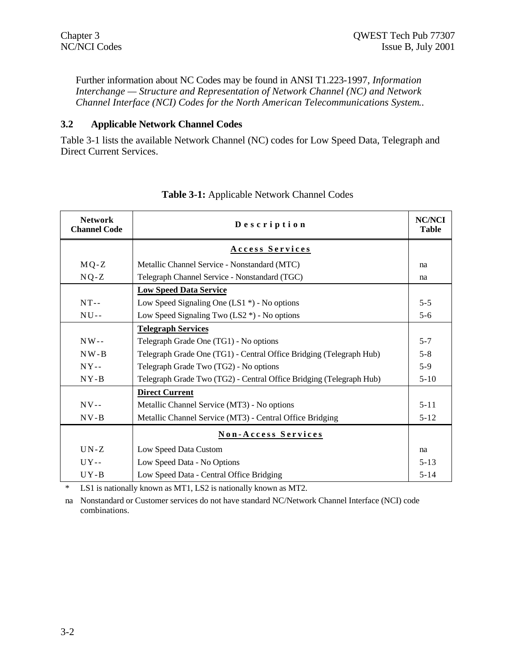Further information about NC Codes may be found in ANSI T1.223-1997, *Information Interchange — Structure and Representation of Network Channel (NC) and Network Channel Interface (NCI) Codes for the North American Telecommunications System.*.

#### **3.2 Applicable Network Channel Codes**

Table 3-1 lists the available Network Channel (NC) codes for Low Speed Data, Telegraph and Direct Current Services.

| <b>Network</b><br><b>Channel Code</b> | Description                                                         | <b>NC/NCI</b><br><b>Table</b> |
|---------------------------------------|---------------------------------------------------------------------|-------------------------------|
|                                       | <b>Access Services</b>                                              |                               |
| $MQ-Z$                                | Metallic Channel Service - Nonstandard (MTC)                        | na                            |
| $NQ-Z$                                | Telegraph Channel Service - Nonstandard (TGC)                       | na                            |
|                                       | <b>Low Speed Data Service</b>                                       |                               |
| $NT - -$                              | Low Speed Signaling One (LS1 $*$ ) - No options                     | $5 - 5$                       |
| $NU-$                                 | Low Speed Signaling Two $(LS2^*)$ - No options                      | $5 - 6$                       |
|                                       | <b>Telegraph Services</b>                                           |                               |
| $NW -$                                | Telegraph Grade One (TG1) - No options                              | $5 - 7$                       |
| $NW - B$                              | Telegraph Grade One (TG1) - Central Office Bridging (Telegraph Hub) | $5 - 8$                       |
| $NY - -$                              | Telegraph Grade Two (TG2) - No options                              | $5-9$                         |
| $NY-B$                                | Telegraph Grade Two (TG2) - Central Office Bridging (Telegraph Hub) | $5 - 10$                      |
|                                       | <b>Direct Current</b>                                               |                               |
| $NV$ --                               | Metallic Channel Service (MT3) - No options                         | $5 - 11$                      |
| $NV - B$                              | Metallic Channel Service (MT3) - Central Office Bridging            | $5 - 12$                      |
|                                       | Non-Access Services                                                 |                               |
| $UN-Z$                                | Low Speed Data Custom                                               | na                            |
| $UY$ --                               | Low Speed Data - No Options                                         | $5 - 13$                      |
| $UY - B$                              | Low Speed Data - Central Office Bridging                            | $5 - 14$                      |

#### **Table 3-1:** Applicable Network Channel Codes

\* LS1 is nationally known as MT1, LS2 is nationally known as MT2.

na Nonstandard or Customer services do not have standard NC/Network Channel Interface (NCI) code combinations.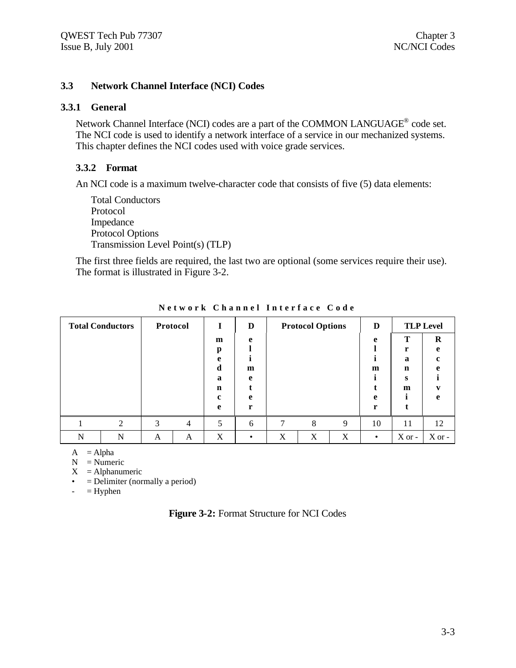#### **3.3 Network Channel Interface (NCI) Codes**

#### **3.3.1 General**

Network Channel Interface (NCI) codes are a part of the COMMON LANGUAGE<sup>®</sup> code set. The NCI code is used to identify a network interface of a service in our mechanized systems. This chapter defines the NCI codes used with voice grade services.

#### **3.3.2 Format**

An NCI code is a maximum twelve-character code that consists of five (5) data elements:

Total Conductors Protocol Impedance Protocol Options Transmission Level Point(s) (TLP)

The first three fields are required, the last two are optional (some services require their use). The format is illustrated in Figure 3-2.

| <b>Total Conductors</b><br>Protocol |   | 1 | D              |                  | <b>Protocol Options</b> |   | D |   | <b>TLP Level</b> |                  |          |
|-------------------------------------|---|---|----------------|------------------|-------------------------|---|---|---|------------------|------------------|----------|
|                                     |   |   |                | m                | e                       |   |   |   | e                | т                | $\bf{R}$ |
|                                     |   |   |                | р<br>e           |                         |   |   |   |                  | r<br>$\mathbf a$ | e        |
|                                     |   |   |                | d                | m                       |   |   |   | m                | n                |          |
|                                     |   |   |                | a                | e                       |   |   |   |                  | s                |          |
|                                     |   |   |                | $\mathbf n$<br>c | e                       |   |   |   | e                | m                | A        |
|                                     |   |   |                | e                | r                       |   |   |   | r                |                  |          |
|                                     | ◠ | 3 | $\overline{4}$ | 5                | 6                       | 7 | 8 | 9 | 10               | 11               | 12       |
| N                                   | N | A | A              | X                |                         | X | X | X |                  | $X$ or -         | $X$ or - |

**Network Channel Interface Code**

 $A = Alpha$ 

 $N =$  Numeric

 $X =$ Alphanumeric

 $\bullet$  = Delimiter (normally a period)

 $-$  = Hyphen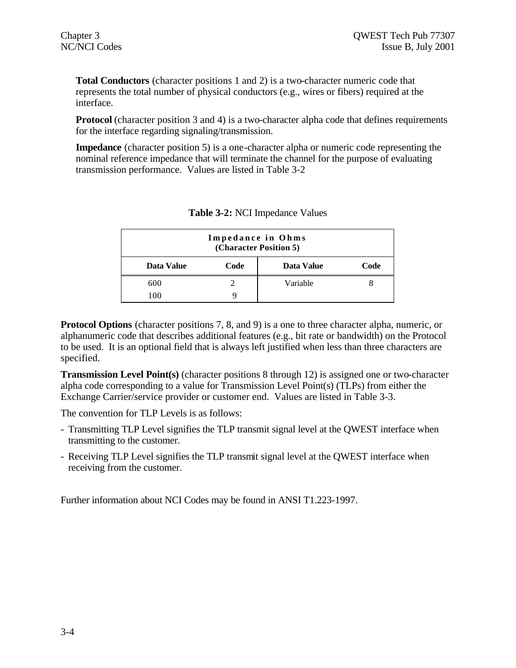**Total Conductors** (character positions 1 and 2) is a two-character numeric code that represents the total number of physical conductors (e.g., wires or fibers) required at the interface.

**Protocol** (character position 3 and 4) is a two-character alpha code that defines requirements for the interface regarding signaling/transmission.

**Impedance** (character position 5) is a one-character alpha or numeric code representing the nominal reference impedance that will terminate the channel for the purpose of evaluating transmission performance. Values are listed in Table 3-2

| Impedance in Ohms<br>(Character Position 5) |      |            |      |  |
|---------------------------------------------|------|------------|------|--|
| Data Value                                  | Code | Data Value | Code |  |
| 600                                         |      | Variable   |      |  |
| 100                                         |      |            |      |  |

| <b>Table 3-2: NCI Impedance Values</b> |
|----------------------------------------|
|----------------------------------------|

**Protocol Options** (character positions 7, 8, and 9) is a one to three character alpha, numeric, or alphanumeric code that describes additional features (e.g., bit rate or bandwidth) on the Protocol to be used. It is an optional field that is always left justified when less than three characters are specified.

**Transmission Level Point(s)** (character positions 8 through 12) is assigned one or two-character alpha code corresponding to a value for Transmission Level Point(s) (TLPs) from either the Exchange Carrier/service provider or customer end. Values are listed in Table 3-3.

The convention for TLP Levels is as follows:

- Transmitting TLP Level signifies the TLP transmit signal level at the QWEST interface when transmitting to the customer.
- Receiving TLP Level signifies the TLP transmit signal level at the QWEST interface when receiving from the customer.

Further information about NCI Codes may be found in ANSI T1.223-1997.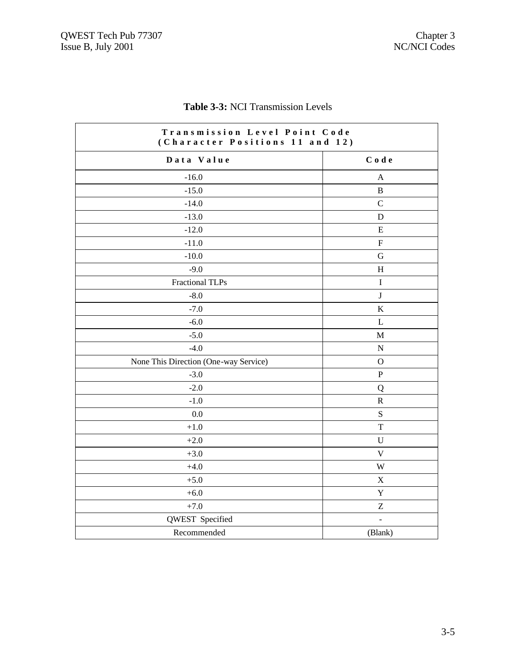| Transmission Level Point Code<br>(Character Positions 11 and 12) |                         |  |
|------------------------------------------------------------------|-------------------------|--|
| Data Value                                                       | Code                    |  |
| $-16.0$                                                          | A                       |  |
| $-15.0$                                                          | $\, {\bf B}$            |  |
| $-14.0$                                                          | $\overline{C}$          |  |
| $-13.0$                                                          | D                       |  |
| $-12.0$                                                          | E                       |  |
| $-11.0$                                                          | $\rm F$                 |  |
| $-10.0$                                                          | G                       |  |
| $-9.0$                                                           | H                       |  |
| <b>Fractional TLPs</b>                                           | $\bf I$                 |  |
| $-8.0$                                                           | $\bf J$                 |  |
| $-7.0$                                                           | $\rm K$                 |  |
| $-6.0$                                                           | $\mathbf{L}$            |  |
| $-5.0$                                                           | $\mathbf M$             |  |
| $-4.0$                                                           | ${\bf N}$               |  |
| None This Direction (One-way Service)                            | $\mathbf{O}$            |  |
| $-3.0$                                                           | ${\bf P}$               |  |
| $-2.0$                                                           | Q                       |  |
| $-1.0$                                                           | ${\bf R}$               |  |
| 0.0                                                              | ${\bf S}$               |  |
| $+1.0$                                                           | T                       |  |
| $+2.0$                                                           | U                       |  |
| $+3.0$                                                           | $\mathbf V$             |  |
| $+4.0$                                                           | $\ensuremath{\text{W}}$ |  |
| $+5.0$                                                           | $\mathbf X$             |  |
| $+6.0$                                                           | $\mathbf Y$             |  |
| $+7.0$                                                           | $\boldsymbol{Z}$        |  |
| QWEST Specified                                                  | $\blacksquare$          |  |
| Recommended                                                      | (Blank)                 |  |

#### **Table 3-3:** NCI Transmission Levels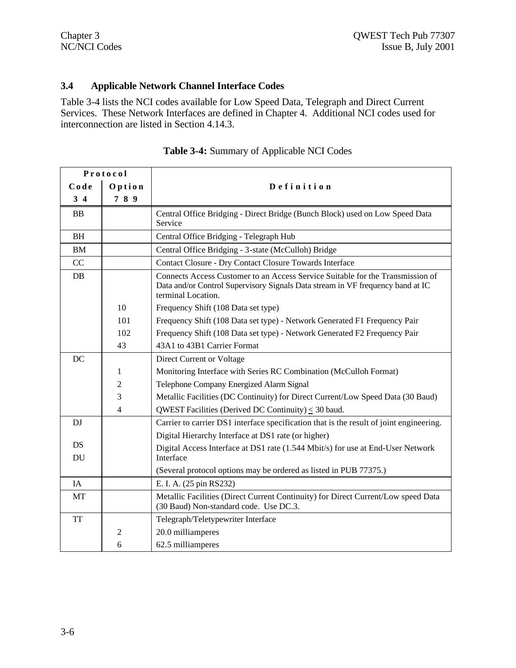#### **3.4 Applicable Network Channel Interface Codes**

Table 3-4 lists the NCI codes available for Low Speed Data, Telegraph and Direct Current Services. These Network Interfaces are defined in Chapter 4. Additional NCI codes used for interconnection are listed in Section 4.14.3.

| Protocol       |                |                                                                                                                                                                                        |
|----------------|----------------|----------------------------------------------------------------------------------------------------------------------------------------------------------------------------------------|
| Code<br>Option |                | Definition                                                                                                                                                                             |
| $3\,4$         | 789            |                                                                                                                                                                                        |
| BB             |                | Central Office Bridging - Direct Bridge (Bunch Block) used on Low Speed Data<br>Service                                                                                                |
| <b>BH</b>      |                | Central Office Bridging - Telegraph Hub                                                                                                                                                |
| BM             |                | Central Office Bridging - 3-state (McCulloh) Bridge                                                                                                                                    |
| CC             |                | <b>Contact Closure - Dry Contact Closure Towards Interface</b>                                                                                                                         |
| DB             |                | Connects Access Customer to an Access Service Suitable for the Transmission of<br>Data and/or Control Supervisory Signals Data stream in VF frequency band at IC<br>terminal Location. |
|                | 10             | Frequency Shift (108 Data set type)                                                                                                                                                    |
|                | 101            | Frequency Shift (108 Data set type) - Network Generated F1 Frequency Pair                                                                                                              |
|                | 102            | Frequency Shift (108 Data set type) - Network Generated F2 Frequency Pair                                                                                                              |
|                | 43             | 43A1 to 43B1 Carrier Format                                                                                                                                                            |
| DC             |                | Direct Current or Voltage                                                                                                                                                              |
|                | 1              | Monitoring Interface with Series RC Combination (McCulloh Format)                                                                                                                      |
|                | $\mathfrak{2}$ | Telephone Company Energized Alarm Signal                                                                                                                                               |
|                | 3              | Metallic Facilities (DC Continuity) for Direct Current/Low Speed Data (30 Baud)                                                                                                        |
|                | 4              | QWEST Facilities (Derived DC Continuity) $\leq$ 30 baud.                                                                                                                               |
| DJ             |                | Carrier to carrier DS1 interface specification that is the result of joint engineering.                                                                                                |
|                |                | Digital Hierarchy Interface at DS1 rate (or higher)                                                                                                                                    |
| DS             |                | Digital Access Interface at DS1 rate (1.544 Mbit/s) for use at End-User Network                                                                                                        |
| DU             |                | Interface                                                                                                                                                                              |
|                |                | (Several protocol options may be ordered as listed in PUB 77375.)                                                                                                                      |
| IA             |                | E. I. A. (25 pin RS232)                                                                                                                                                                |
| MT             |                | Metallic Facilities (Direct Current Continuity) for Direct Current/Low speed Data<br>(30 Baud) Non-standard code. Use DC.3.                                                            |
| <b>TT</b>      |                | Telegraph/Teletypewriter Interface                                                                                                                                                     |
|                | $\mathfrak{2}$ | 20.0 milliamperes                                                                                                                                                                      |
|                | 6              | 62.5 milliamperes                                                                                                                                                                      |

| <b>Table 3-4:</b> Summary of Applicable NCI Codes |  |
|---------------------------------------------------|--|
|---------------------------------------------------|--|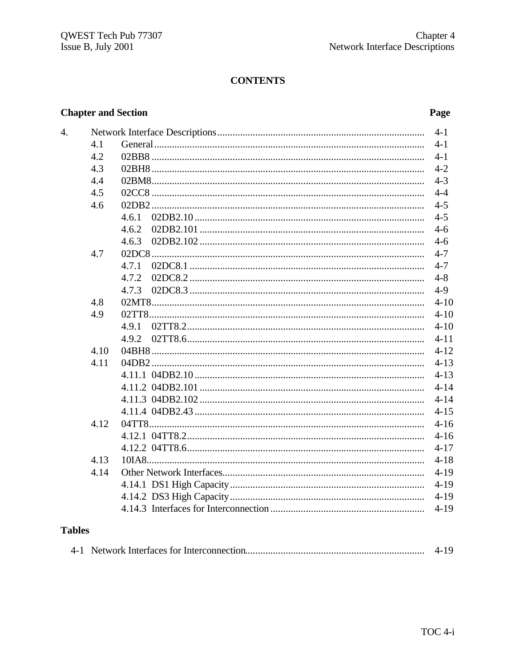#### **CONTENTS**

#### **Chapter and Section**

#### Page

| 4.            |      |       | $4 - 1$  |
|---------------|------|-------|----------|
|               | 4.1  |       | $4 - 1$  |
|               | 4.2  |       | $4 - 1$  |
|               | 4.3  |       | $4 - 2$  |
|               | 4.4  |       | $4 - 3$  |
|               | 4.5  |       | $4 - 4$  |
|               | 4.6  |       | $4 - 5$  |
|               |      | 4.6.1 | $4 - 5$  |
|               |      | 4.6.2 | $4 - 6$  |
|               |      | 4.6.3 | $4 - 6$  |
|               | 4.7  |       | $4 - 7$  |
|               |      |       | $4 - 7$  |
|               |      | 4.7.2 | $4 - 8$  |
|               |      | 4.7.3 | $4-9$    |
|               | 4.8  |       | $4 - 10$ |
|               | 4.9  |       | $4 - 10$ |
|               |      |       | $4 - 10$ |
|               |      | 4.9.2 | $4 - 11$ |
|               | 4.10 |       | $4 - 12$ |
|               | 4.11 |       | $4 - 13$ |
|               |      |       | $4 - 13$ |
|               |      |       | $4 - 14$ |
|               |      |       | $4 - 14$ |
|               |      |       | $4 - 15$ |
|               | 4.12 |       | $4 - 16$ |
|               |      |       | $4 - 16$ |
|               |      |       | $4 - 17$ |
|               | 4.13 |       | $4 - 18$ |
|               | 4.14 |       | $4 - 19$ |
|               |      |       | $4 - 19$ |
|               |      |       | $4-19$   |
|               |      |       | $4 - 19$ |
| <b>Tables</b> |      |       |          |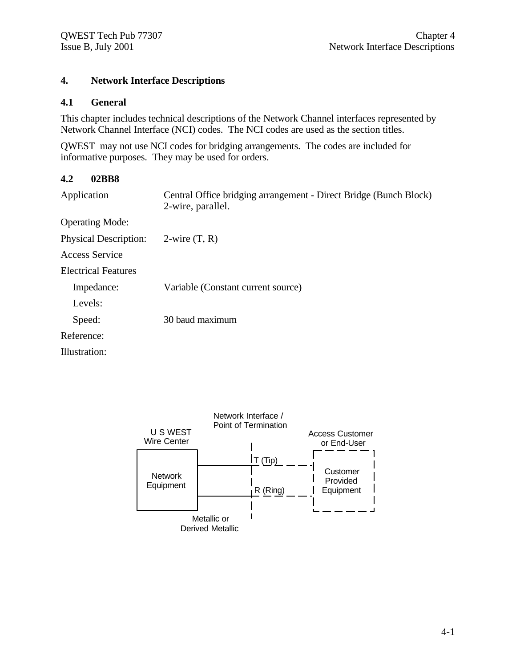#### **4. Network Interface Descriptions**

#### **4.1 General**

This chapter includes technical descriptions of the Network Channel interfaces represented by Network Channel Interface (NCI) codes. The NCI codes are used as the section titles.

QWEST may not use NCI codes for bridging arrangements. The codes are included for informative purposes. They may be used for orders.

#### **4.2 02BB8**

| Application                  | Central Office bridging arrangement - Direct Bridge (Bunch Block)<br>2-wire, parallel. |
|------------------------------|----------------------------------------------------------------------------------------|
| <b>Operating Mode:</b>       |                                                                                        |
| <b>Physical Description:</b> | 2-wire $(T, R)$                                                                        |
| Access Service               |                                                                                        |
| Electrical Features          |                                                                                        |
| Impedance:                   | Variable (Constant current source)                                                     |
| Levels:                      |                                                                                        |
| Speed:                       | 30 baud maximum                                                                        |
| Reference:                   |                                                                                        |
| Illustration:                |                                                                                        |
|                              |                                                                                        |

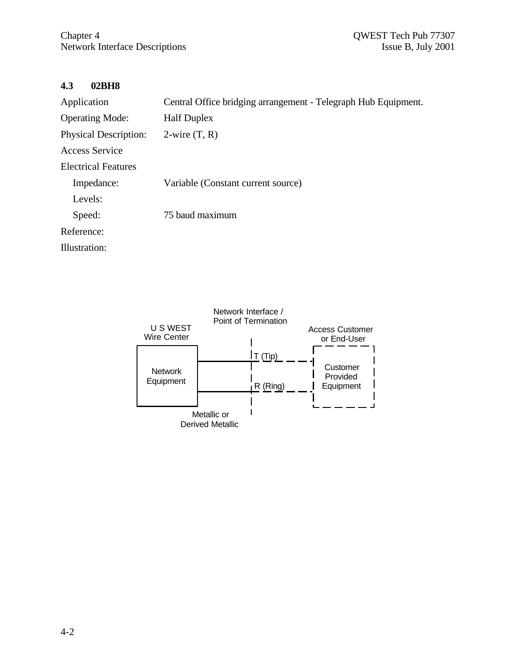#### **4.3 02BH8**

| Application                  | Central Office bridging arrangement - Telegraph Hub Equipment. |
|------------------------------|----------------------------------------------------------------|
| <b>Operating Mode:</b>       | <b>Half Duplex</b>                                             |
| <b>Physical Description:</b> | $2$ -wire $(T, R)$                                             |
| Access Service               |                                                                |
| <b>Electrical Features</b>   |                                                                |
| Impedance:                   | Variable (Constant current source)                             |
| Levels:                      |                                                                |
| Speed:                       | 75 baud maximum                                                |
| Reference:                   |                                                                |
| Illustration:                |                                                                |

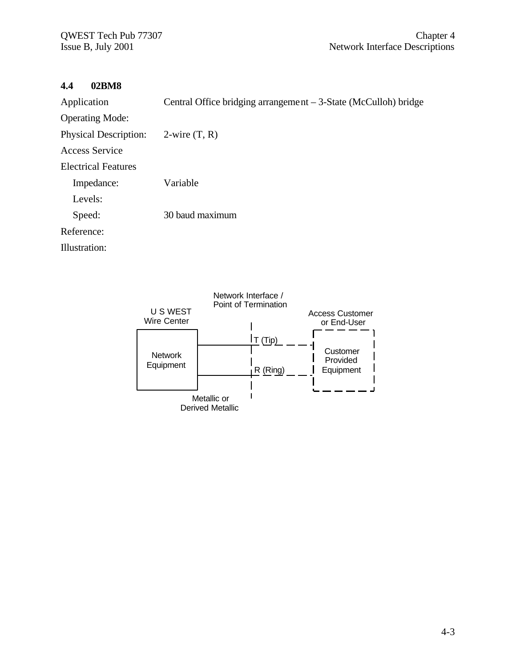#### **4.4 02BM8**

| Application                  | Central Office bridging arrangement $-3$ -State (McCulloh) bridge |
|------------------------------|-------------------------------------------------------------------|
| <b>Operating Mode:</b>       |                                                                   |
| <b>Physical Description:</b> | $2$ -wire $(T, R)$                                                |
| Access Service               |                                                                   |
| <b>Electrical Features</b>   |                                                                   |
| Impedance:                   | Variable                                                          |
| Levels:                      |                                                                   |
| Speed:                       | 30 baud maximum                                                   |
| Reference:                   |                                                                   |
| Illustration:                |                                                                   |
|                              |                                                                   |

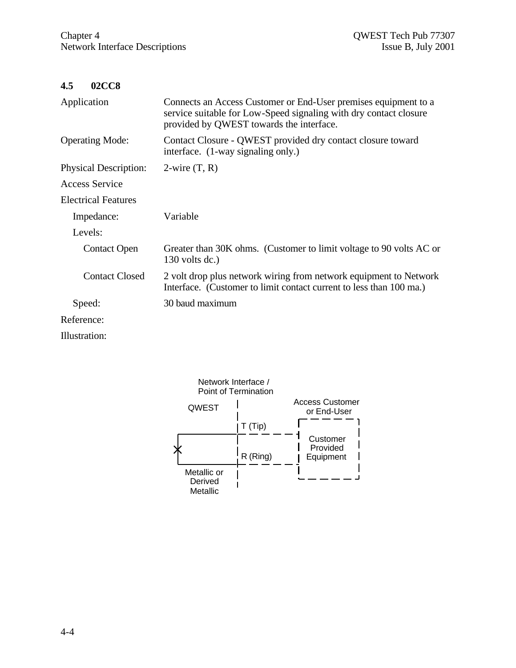$\hat{\mathbf{r}}$ 

#### **4.5 02CC8**

| Application                  | Connects an Access Customer or End-User premises equipment to a<br>service suitable for Low-Speed signaling with dry contact closure<br>provided by QWEST towards the interface. |
|------------------------------|----------------------------------------------------------------------------------------------------------------------------------------------------------------------------------|
| <b>Operating Mode:</b>       | Contact Closure - QWEST provided dry contact closure toward<br>interface. (1-way signaling only.)                                                                                |
| <b>Physical Description:</b> | $2$ -wire $(T, R)$                                                                                                                                                               |
| Access Service               |                                                                                                                                                                                  |
| <b>Electrical Features</b>   |                                                                                                                                                                                  |
| Impedance:                   | Variable                                                                                                                                                                         |
| Levels:                      |                                                                                                                                                                                  |
| <b>Contact Open</b>          | Greater than 30K ohms. (Customer to limit voltage to 90 volts AC or<br>$130$ volts dc.)                                                                                          |
| <b>Contact Closed</b>        | 2 volt drop plus network wiring from network equipment to Network<br>Interface. (Customer to limit contact current to less than 100 ma.)                                         |
| Speed:                       | 30 baud maximum                                                                                                                                                                  |
| Reference:                   |                                                                                                                                                                                  |
| Illustration:                |                                                                                                                                                                                  |

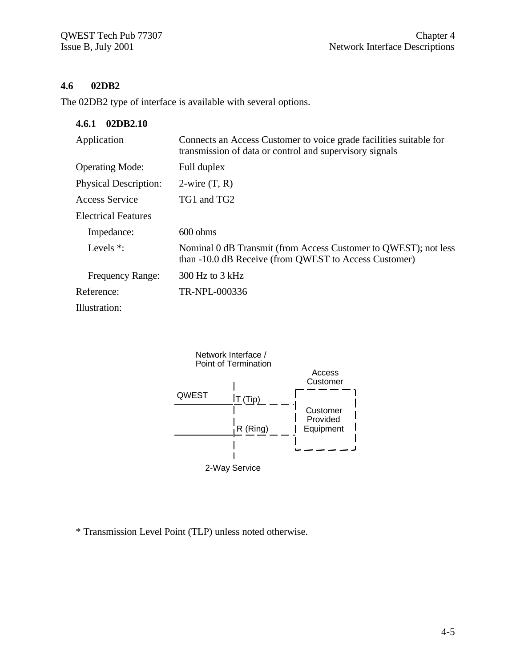# **4.6 02DB2**

The 02DB2 type of interface is available with several options.

| 02DB2.10<br>4.6.1            |                                                                                                                               |
|------------------------------|-------------------------------------------------------------------------------------------------------------------------------|
| Application                  | Connects an Access Customer to voice grade facilities suitable for<br>transmission of data or control and supervisory signals |
| <b>Operating Mode:</b>       | Full duplex                                                                                                                   |
| <b>Physical Description:</b> | $2$ -wire $(T, R)$                                                                                                            |
| Access Service               | TG1 and TG2                                                                                                                   |
| <b>Electrical Features</b>   |                                                                                                                               |
| Impedance:                   | $600 \text{ ohms}$                                                                                                            |
| Levels $*$ :                 | Nominal 0 dB Transmit (from Access Customer to QWEST); not less<br>than -10.0 dB Receive (from QWEST to Access Customer)      |
| <b>Frequency Range:</b>      | $300$ Hz to $3$ kHz                                                                                                           |
| Reference:                   | TR-NPL-000336                                                                                                                 |
| Illustration:                |                                                                                                                               |



\* Transmission Level Point (TLP) unless noted otherwise.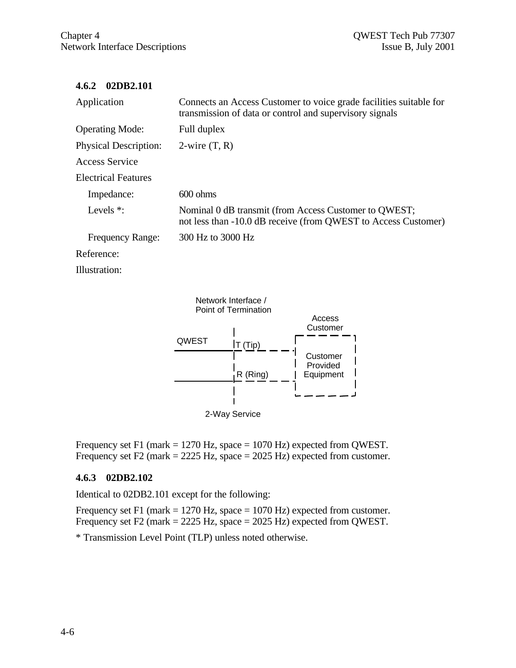#### **4.6.2 02DB2.101**

| Application                  | Connects an Access Customer to voice grade facilities suitable for<br>transmission of data or control and supervisory signals |
|------------------------------|-------------------------------------------------------------------------------------------------------------------------------|
| <b>Operating Mode:</b>       | Full duplex                                                                                                                   |
| <b>Physical Description:</b> | $2$ -wire $(T, R)$                                                                                                            |
| Access Service               |                                                                                                                               |
| <b>Electrical Features</b>   |                                                                                                                               |
| Impedance:                   | $600 \text{ ohms}$                                                                                                            |
| Levels $*$ :                 | Nominal 0 dB transmit (from Access Customer to QWEST;<br>not less than -10.0 dB receive (from QWEST to Access Customer)       |
| <b>Frequency Range:</b>      | 300 Hz to 3000 Hz                                                                                                             |
| Reference:                   |                                                                                                                               |

Illustration:



Frequency set F1 (mark = 1270 Hz, space = 1070 Hz) expected from QWEST. Frequency set F2 (mark  $= 2225$  Hz, space  $= 2025$  Hz) expected from customer.

## **4.6.3 02DB2.102**

Identical to 02DB2.101 except for the following:

Frequency set F1 (mark  $= 1270$  Hz, space  $= 1070$  Hz) expected from customer. Frequency set F2 (mark = 2225 Hz, space = 2025 Hz) expected from QWEST.

\* Transmission Level Point (TLP) unless noted otherwise.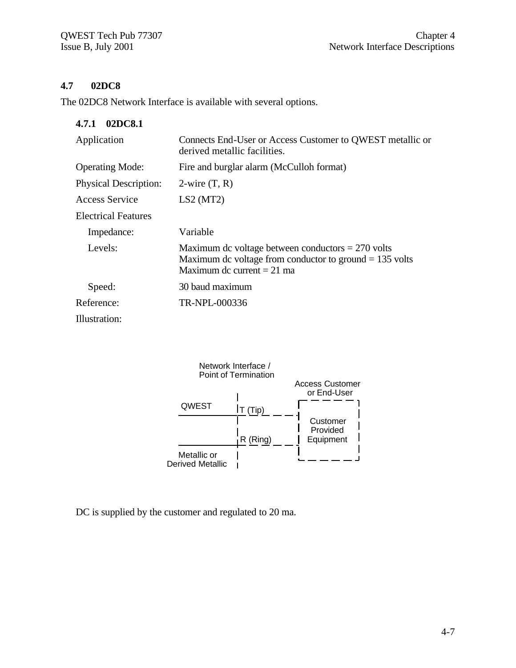# **4.7 02DC8**

The 02DC8 Network Interface is available with several options.

| 02DC8.1<br>4.7.1             |                                                                                                                                                  |
|------------------------------|--------------------------------------------------------------------------------------------------------------------------------------------------|
| Application                  | Connects End-User or Access Customer to QWEST metallic or<br>derived metallic facilities.                                                        |
| <b>Operating Mode:</b>       | Fire and burglar alarm (McCulloh format)                                                                                                         |
| <b>Physical Description:</b> | $2$ -wire $(T, R)$                                                                                                                               |
| Access Service               | LS2(MT2)                                                                                                                                         |
| Electrical Features          |                                                                                                                                                  |
| Impedance:                   | Variable                                                                                                                                         |
| Levels:                      | Maximum dc voltage between conductors $= 270$ volts<br>Maximum dc voltage from conductor to ground $= 135$ volts<br>Maximum dc current $= 21$ ma |
| Speed:                       | 30 baud maximum                                                                                                                                  |
| Reference:                   | TR-NPL-000336                                                                                                                                    |
| Illustration:                |                                                                                                                                                  |



DC is supplied by the customer and regulated to 20 ma.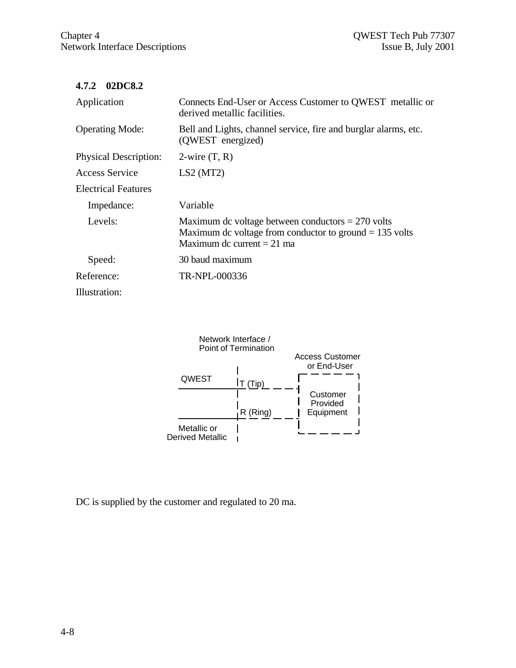## **4.7.2 02DC8.2**

| Application                  | Connects End-User or Access Customer to QWEST metallic or<br>derived metallic facilities.                                                        |
|------------------------------|--------------------------------------------------------------------------------------------------------------------------------------------------|
| <b>Operating Mode:</b>       | Bell and Lights, channel service, fire and burglar alarms, etc.<br>(QWEST energized)                                                             |
| <b>Physical Description:</b> | $2$ -wire $(T, R)$                                                                                                                               |
| Access Service               | LS2(MT2)                                                                                                                                         |
| <b>Electrical Features</b>   |                                                                                                                                                  |
| Impedance:                   | Variable                                                                                                                                         |
| Levels:                      | Maximum dc voltage between conductors $= 270$ volts<br>Maximum dc voltage from conductor to ground $= 135$ volts<br>Maximum dc current $= 21$ ma |
| Speed:                       | 30 baud maximum                                                                                                                                  |
| Reference:                   | TR-NPL-000336                                                                                                                                    |
| Illustration:                |                                                                                                                                                  |



DC is supplied by the customer and regulated to 20 ma.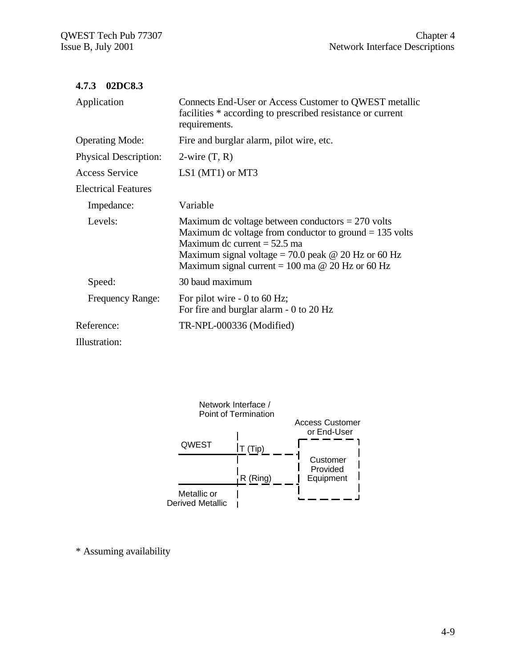| 4.7.3 | 02DC8.3 |
|-------|---------|
|-------|---------|

| Application                  | Connects End-User or Access Customer to QWEST metallic<br>facilities * according to prescribed resistance or current<br>requirements.                                                                                                                                       |
|------------------------------|-----------------------------------------------------------------------------------------------------------------------------------------------------------------------------------------------------------------------------------------------------------------------------|
| <b>Operating Mode:</b>       | Fire and burglar alarm, pilot wire, etc.                                                                                                                                                                                                                                    |
| <b>Physical Description:</b> | $2$ -wire $(T, R)$                                                                                                                                                                                                                                                          |
| <b>Access Service</b>        | LS1 (MT1) or MT3                                                                                                                                                                                                                                                            |
| <b>Electrical Features</b>   |                                                                                                                                                                                                                                                                             |
| Impedance:                   | Variable                                                                                                                                                                                                                                                                    |
| Levels:                      | Maximum dc voltage between conductors $= 270$ volts<br>Maximum dc voltage from conductor to ground $= 135$ volts<br>Maximum dc current $= 52.5$ ma<br>Maximum signal voltage = 70.0 peak $\omega$ 20 Hz or 60 Hz<br>Maximum signal current = 100 ma $\omega$ 20 Hz or 60 Hz |
| Speed:                       | 30 baud maximum                                                                                                                                                                                                                                                             |
| <b>Frequency Range:</b>      | For pilot wire $-0$ to 60 Hz;<br>For fire and burglar alarm - 0 to 20 Hz                                                                                                                                                                                                    |
| Reference:                   | TR-NPL-000336 (Modified)                                                                                                                                                                                                                                                    |
| 111                          |                                                                                                                                                                                                                                                                             |

Illustration:



\* Assuming availability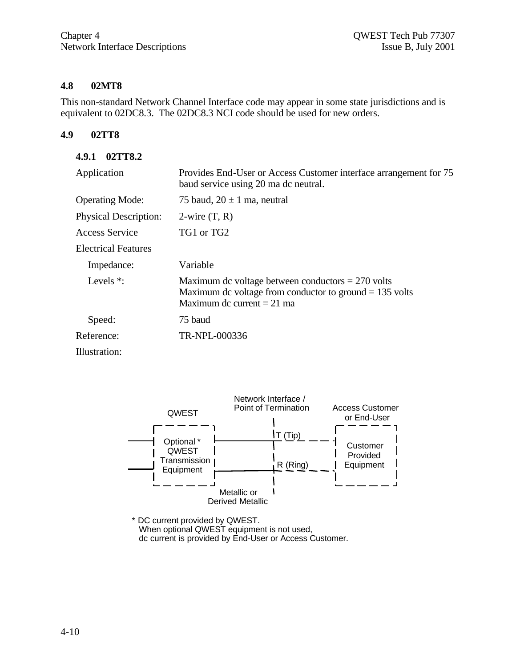#### **4.8 02MT8**

This non-standard Network Channel Interface code may appear in some state jurisdictions and is equivalent to 02DC8.3. The 02DC8.3 NCI code should be used for new orders.

#### **4.9 02TT8**

#### **4.9.1 02TT8.2**

| Application                  | Provides End-User or Access Customer interface arrangement for 75<br>baud service using 20 ma dc neutral.                                        |
|------------------------------|--------------------------------------------------------------------------------------------------------------------------------------------------|
| <b>Operating Mode:</b>       | 75 baud, $20 \pm 1$ ma, neutral                                                                                                                  |
| <b>Physical Description:</b> | $2$ -wire $(T, R)$                                                                                                                               |
| Access Service               | TG1 or TG2                                                                                                                                       |
| <b>Electrical Features</b>   |                                                                                                                                                  |
| Impedance:                   | Variable                                                                                                                                         |
| Levels $*$ :                 | Maximum dc voltage between conductors $= 270$ volts<br>Maximum dc voltage from conductor to ground $= 135$ volts<br>Maximum dc current $= 21$ ma |
| Speed:                       | 75 baud                                                                                                                                          |
| Reference:                   | TR-NPL-000336                                                                                                                                    |
| Illustration:                |                                                                                                                                                  |



\* DC current provided by QWEST. When optional QWEST equipment is not used, dc current is provided by End-User or Access Customer.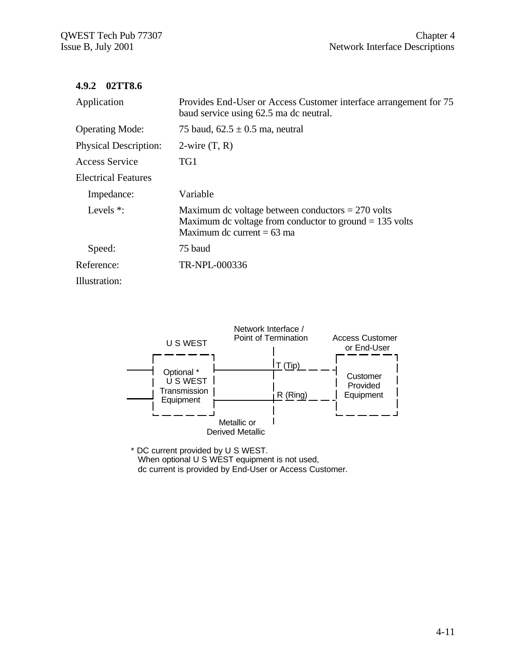#### **4.9.2 02TT8.6**

| Application                  | Provides End-User or Access Customer interface arrangement for 75<br>baud service using 62.5 ma dc neutral.                                      |
|------------------------------|--------------------------------------------------------------------------------------------------------------------------------------------------|
| <b>Operating Mode:</b>       | 75 baud, $62.5 \pm 0.5$ ma, neutral                                                                                                              |
| <b>Physical Description:</b> | $2$ -wire $(T, R)$                                                                                                                               |
| Access Service               | TG1                                                                                                                                              |
| <b>Electrical Features</b>   |                                                                                                                                                  |
| Impedance:                   | Variable                                                                                                                                         |
| Levels $*$ :                 | Maximum dc voltage between conductors $= 270$ volts<br>Maximum dc voltage from conductor to ground $= 135$ volts<br>Maximum dc current $= 63$ ma |
| Speed:                       | 75 baud                                                                                                                                          |
| Reference:                   | TR-NPL-000336                                                                                                                                    |
| Illustration:                |                                                                                                                                                  |



\* DC current provided by U S WEST. When optional U S WEST equipment is not used, dc current is provided by End-User or Access Customer.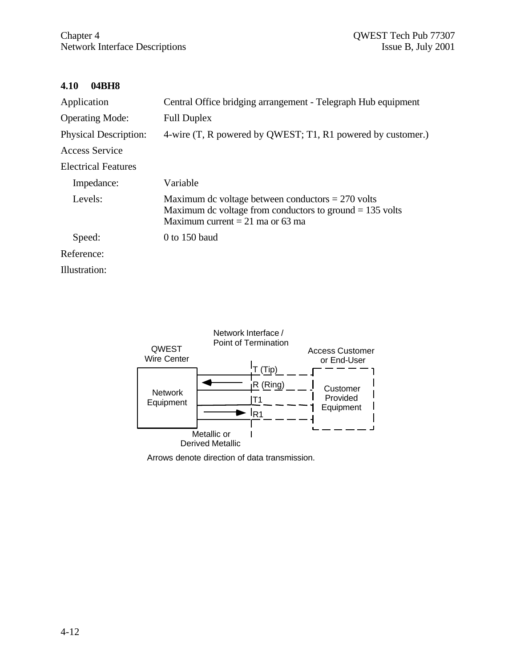#### **4.10 04BH8**

| Application                  | Central Office bridging arrangement - Telegraph Hub equipment                                                                                         |
|------------------------------|-------------------------------------------------------------------------------------------------------------------------------------------------------|
| <b>Operating Mode:</b>       | <b>Full Duplex</b>                                                                                                                                    |
| <b>Physical Description:</b> | 4-wire (T, R powered by QWEST; T1, R1 powered by customer.)                                                                                           |
| Access Service               |                                                                                                                                                       |
| Electrical Features          |                                                                                                                                                       |
| Impedance:                   | Variable                                                                                                                                              |
| Levels:                      | Maximum dc voltage between conductors $= 270$ volts<br>Maximum dc voltage from conductors to ground $= 135$ volts<br>Maximum current = 21 ma or 63 ma |
| Speed:                       | $0$ to 150 baud                                                                                                                                       |
| Reference:                   |                                                                                                                                                       |
| Illustration:                |                                                                                                                                                       |



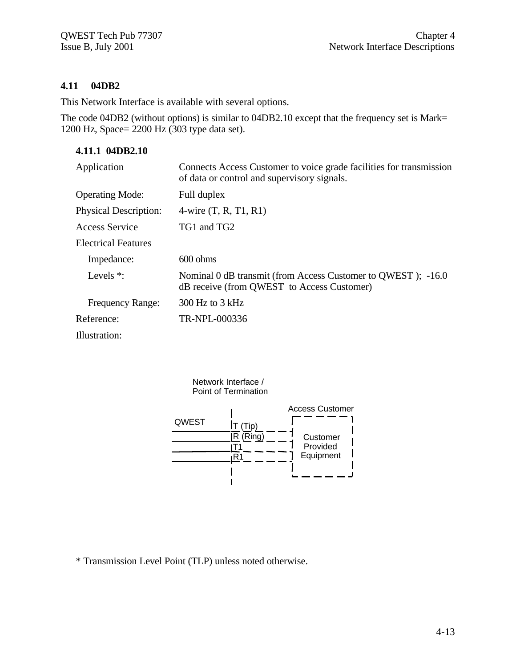## **4.11 04DB2**

This Network Interface is available with several options.

The code 04DB2 (without options) is similar to 04DB2.10 except that the frequency set is Mark= 1200 Hz, Space= 2200 Hz (303 type data set).

# **4.11.1 04DB2.10**

| Application                  | Connects Access Customer to voice grade facilities for transmission<br>of data or control and supervisory signals. |
|------------------------------|--------------------------------------------------------------------------------------------------------------------|
| <b>Operating Mode:</b>       | Full duplex                                                                                                        |
| <b>Physical Description:</b> | 4-wire $(T, R, T1, R1)$                                                                                            |
| Access Service               | TG1 and TG2                                                                                                        |
| Electrical Features          |                                                                                                                    |
| Impedance:                   | $600 \text{ ohms}$                                                                                                 |
| Levels $*$ :                 | Nominal 0 dB transmit (from Access Customer to QWEST); -16.0<br>dB receive (from QWEST to Access Customer)         |
| <b>Frequency Range:</b>      | $300$ Hz to $3$ kHz                                                                                                |
| Reference:                   | TR-NPL-000336                                                                                                      |
| Illustration:                |                                                                                                                    |



\* Transmission Level Point (TLP) unless noted otherwise.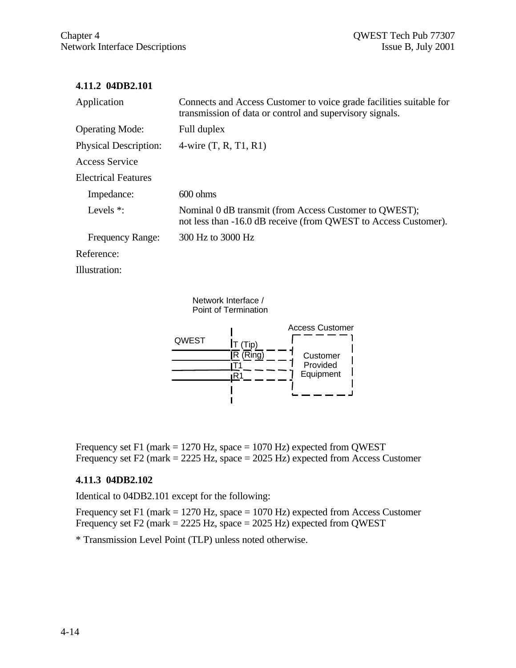#### **4.11.2 04DB2.101**

| Application                  | Connects and Access Customer to voice grade facilities suitable for<br>transmission of data or control and supervisory signals. |
|------------------------------|---------------------------------------------------------------------------------------------------------------------------------|
| <b>Operating Mode:</b>       | Full duplex                                                                                                                     |
| <b>Physical Description:</b> | 4-wire $(T, R, T1, R1)$                                                                                                         |
| Access Service               |                                                                                                                                 |
| <b>Electrical Features</b>   |                                                                                                                                 |
| Impedance:                   | $600 \text{ ohms}$                                                                                                              |
| Levels $*$ :                 | Nominal 0 dB transmit (from Access Customer to QWEST);<br>not less than $-16.0$ dB receive (from QWEST to Access Customer).     |
| <b>Frequency Range:</b>      | 300 Hz to 3000 Hz                                                                                                               |
| Reference:                   |                                                                                                                                 |
|                              |                                                                                                                                 |

Illustration:

Network Interface / Point of Termination



Frequency set F1 (mark  $= 1270$  Hz, space  $= 1070$  Hz) expected from QWEST Frequency set F2 (mark = 2225 Hz, space = 2025 Hz) expected from Access Customer

#### **4.11.3 04DB2.102**

Identical to 04DB2.101 except for the following:

Frequency set F1 (mark  $= 1270$  Hz, space  $= 1070$  Hz) expected from Access Customer Frequency set F2 (mark = 2225 Hz, space = 2025 Hz) expected from QWEST

\* Transmission Level Point (TLP) unless noted otherwise.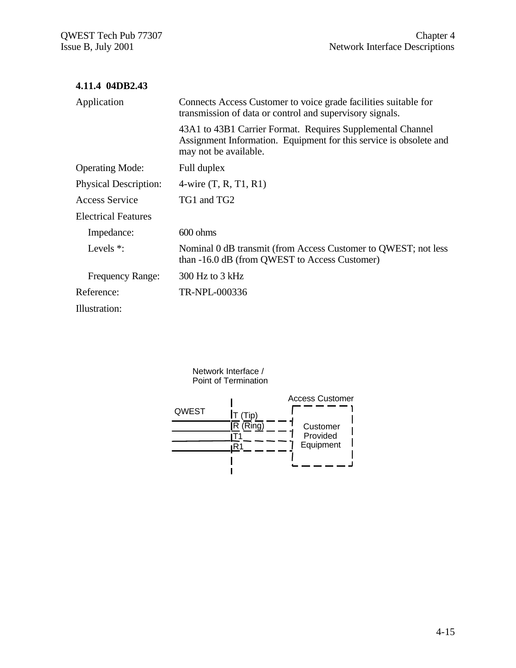| 4.11.4 04DB2.43              |                                                                                                                                                           |
|------------------------------|-----------------------------------------------------------------------------------------------------------------------------------------------------------|
| Application                  | Connects Access Customer to voice grade facilities suitable for<br>transmission of data or control and supervisory signals.                               |
|                              | 43A1 to 43B1 Carrier Format. Requires Supplemental Channel<br>Assignment Information. Equipment for this service is obsolete and<br>may not be available. |
| <b>Operating Mode:</b>       | Full duplex                                                                                                                                               |
| <b>Physical Description:</b> | 4-wire $(T, R, T1, R1)$                                                                                                                                   |
| Access Service               | TG1 and TG2                                                                                                                                               |
| <b>Electrical Features</b>   |                                                                                                                                                           |
| Impedance:                   | $600 \text{ ohms}$                                                                                                                                        |
| Levels $*$ :                 | Nominal 0 dB transmit (from Access Customer to QWEST; not less<br>than -16.0 dB (from QWEST to Access Customer)                                           |
| <b>Frequency Range:</b>      | $300$ Hz to $3$ kHz                                                                                                                                       |
| Reference:                   | TR-NPL-000336                                                                                                                                             |
| Illustration:                |                                                                                                                                                           |

Network Interface / Point of Termination

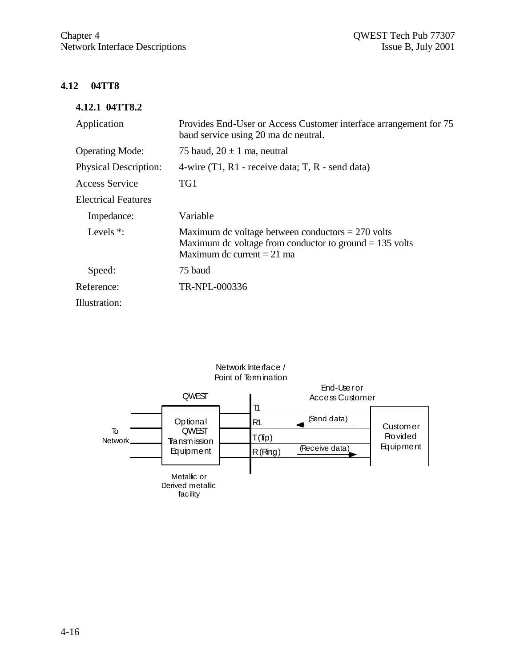# **4.12 04TT8**

#### **4.12.1 04TT8.2**

| Application                  | Provides End-User or Access Customer interface arrangement for 75<br>baud service using 20 ma dc neutral.                                        |
|------------------------------|--------------------------------------------------------------------------------------------------------------------------------------------------|
| <b>Operating Mode:</b>       | 75 baud, $20 \pm 1$ ma, neutral                                                                                                                  |
| <b>Physical Description:</b> | 4-wire $(T1, R1$ - receive data; T, R - send data)                                                                                               |
| Access Service               | TG1                                                                                                                                              |
| <b>Electrical Features</b>   |                                                                                                                                                  |
| Impedance:                   | Variable                                                                                                                                         |
| Levels $*$ :                 | Maximum dc voltage between conductors $= 270$ volts<br>Maximum dc voltage from conductor to ground $= 135$ volts<br>Maximum dc current $= 21$ ma |
| Speed:                       | 75 baud                                                                                                                                          |
| Reference:                   | TR-NPL-000336                                                                                                                                    |
| Illustration:                |                                                                                                                                                  |

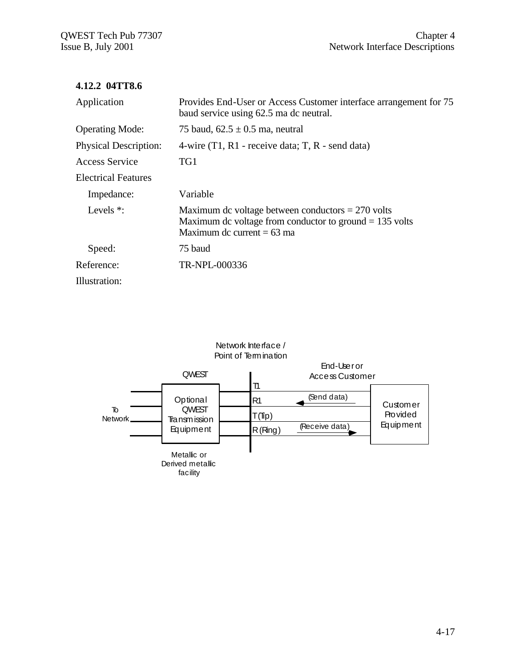#### **4.12.2 04TT8.6**

| Application                  | Provides End-User or Access Customer interface arrangement for 75<br>baud service using 62.5 ma dc neutral.                                      |
|------------------------------|--------------------------------------------------------------------------------------------------------------------------------------------------|
| <b>Operating Mode:</b>       | 75 baud, $62.5 \pm 0.5$ ma, neutral                                                                                                              |
| <b>Physical Description:</b> | 4-wire $(T1, R1$ - receive data; T, R - send data)                                                                                               |
| <b>Access Service</b>        | TG1                                                                                                                                              |
| <b>Electrical Features</b>   |                                                                                                                                                  |
| Impedance:                   | Variable                                                                                                                                         |
| Levels $*$ :                 | Maximum dc voltage between conductors $= 270$ volts<br>Maximum dc voltage from conductor to ground $= 135$ volts<br>Maximum dc current $= 63$ ma |
| Speed:                       | 75 baud                                                                                                                                          |
| Reference:                   | TR-NPL-000336                                                                                                                                    |
| Illustration:                |                                                                                                                                                  |

#### Network Interface / Point of Termination

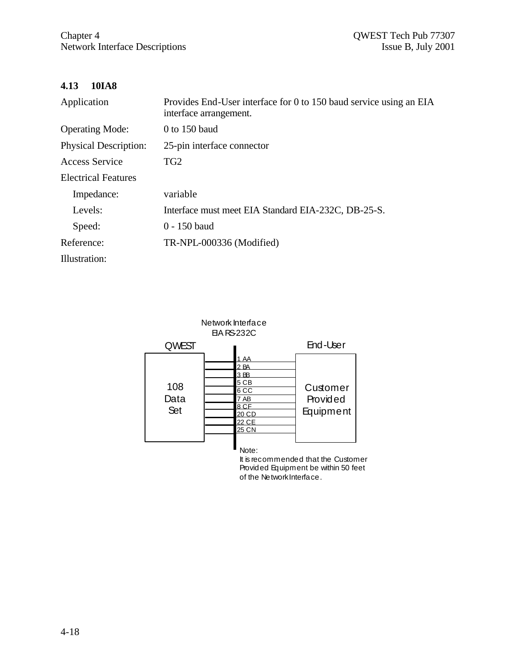# **4.13 10IA8**

| Application                  | Provides End-User interface for 0 to 150 baud service using an EIA<br>interface arrangement. |
|------------------------------|----------------------------------------------------------------------------------------------|
| <b>Operating Mode:</b>       | $0$ to 150 baud                                                                              |
| <b>Physical Description:</b> | 25-pin interface connector                                                                   |
| Access Service               | TG <sub>2</sub>                                                                              |
| <b>Electrical Features</b>   |                                                                                              |
| Impedance:                   | variable                                                                                     |
| Levels:                      | Interface must meet EIA Standard EIA-232C, DB-25-S.                                          |
| Speed:                       | $0 - 150$ baud                                                                               |
| Reference:                   | TR-NPL-000336 (Modified)                                                                     |
| Illustration:                |                                                                                              |



It is recommended that the Customer Provided Equipment be within 50 feet of the NetworkInterface.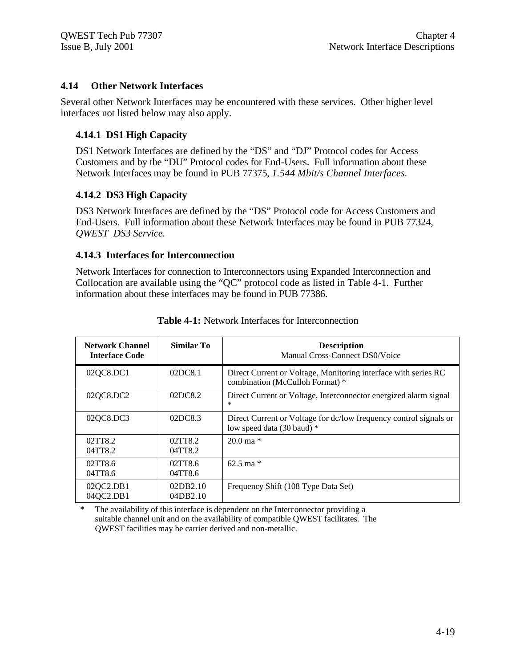#### **4.14 Other Network Interfaces**

Several other Network Interfaces may be encountered with these services. Other higher level interfaces not listed below may also apply.

#### **4.14.1 DS1 High Capacity**

DS1 Network Interfaces are defined by the "DS" and "DJ" Protocol codes for Access Customers and by the "DU" Protocol codes for End-Users. Full information about these Network Interfaces may be found in PUB 77375, *1.544 Mbit/s Channel Interfaces.*

#### **4.14.2 DS3 High Capacity**

DS3 Network Interfaces are defined by the "DS" Protocol code for Access Customers and End-Users. Full information about these Network Interfaces may be found in PUB 77324, *QWEST DS3 Service.*

#### **4.14.3 Interfaces for Interconnection**

Network Interfaces for connection to Interconnectors using Expanded Interconnection and Collocation are available using the "QC" protocol code as listed in Table 4-1. Further information about these interfaces may be found in PUB 77386.

| <b>Network Channel</b><br><b>Interface Code</b> | <b>Similar To</b>    | <b>Description</b><br>Manual Cross-Connect DS0/Voice                                              |
|-------------------------------------------------|----------------------|---------------------------------------------------------------------------------------------------|
| 02QC8.DC1                                       | 02DC8.1              | Direct Current or Voltage, Monitoring interface with series RC<br>combination (McCulloh Format) * |
| 02QC8.DC2                                       | 02DC8.2              | Direct Current or Voltage, Interconnector energized alarm signal<br>$\ast$                        |
| 02QC8.DC3                                       | 02DC8.3              | Direct Current or Voltage for dc/low frequency control signals or<br>low speed data (30 baud) *   |
| 02TT8.2<br>04TT8.2                              | 02TT8.2<br>04TT8.2   | $20.0 \,\mathrm{ma}$ *                                                                            |
| 02TT8.6<br>04TT8.6                              | 02TT8.6<br>04TT8.6   | $62.5 \text{ ma}$ *                                                                               |
| 02QC2.DB1<br>04QC2.DB1                          | 02DB2.10<br>04DB2.10 | Frequency Shift (108 Type Data Set)                                                               |

**Table 4-1:** Network Interfaces for Interconnection

\* The availability of this interface is dependent on the Interconnector providing a suitable channel unit and on the availability of compatible QWEST facilitates. The QWEST facilities may be carrier derived and non-metallic.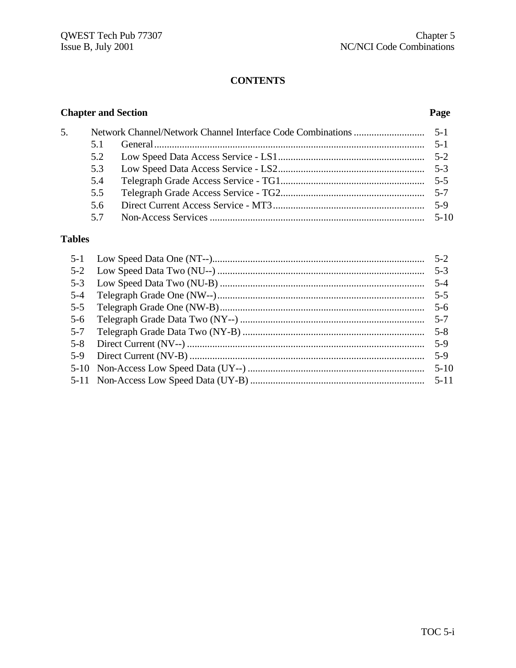# **CONTENTS**

# **Chapter and Section**

# Page

| 5. |     |          |
|----|-----|----------|
|    | 51  | $5 - 1$  |
|    | 5.2 |          |
|    | 5.3 |          |
|    | 5.4 |          |
|    | 5.5 |          |
|    | 5.6 | $5-9$    |
|    | 57  | $5 - 10$ |

# **Tables**

|         | $5-3$   |
|---------|---------|
|         | $5 - 4$ |
| $5-4$   | $5-5$   |
| $5 - 5$ | $5-6$   |
| $5-6$   |         |
| $5 - 7$ |         |
| $5 - 8$ | $5-9$   |
| $5-9$   | $5-9$   |
|         |         |
|         |         |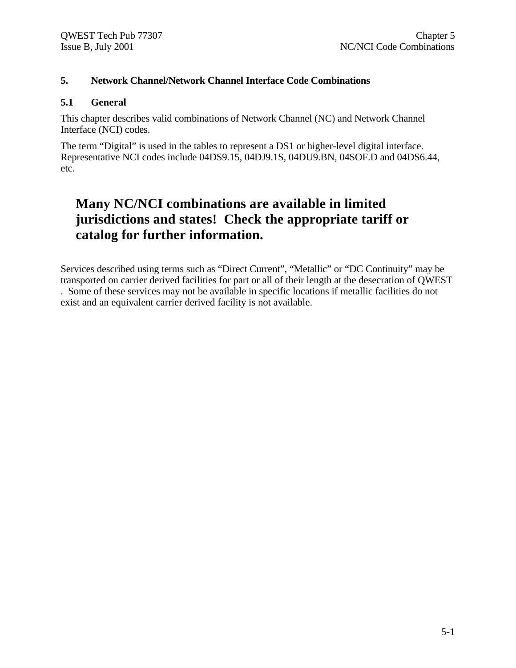#### **5. Network Channel/Network Channel Interface Code Combinations**

#### **5.1 General**

This chapter describes valid combinations of Network Channel (NC) and Network Channel Interface (NCI) codes.

The term "Digital" is used in the tables to represent a DS1 or higher-level digital interface. Representative NCI codes include 04DS9.15, 04DJ9.1S, 04DU9.BN, 04SOF.D and 04DS6.44, etc.

# **Many NC/NCI combinations are available in limited jurisdictions and states! Check the appropriate tariff or catalog for further information.**

Services described using terms such as "Direct Current", "Metallic" or "DC Continuity" may be transported on carrier derived facilities for part or all of their length at the desecration of QWEST . Some of these services may not be available in specific locations if metallic facilities do not exist and an equivalent carrier derived facility is not available.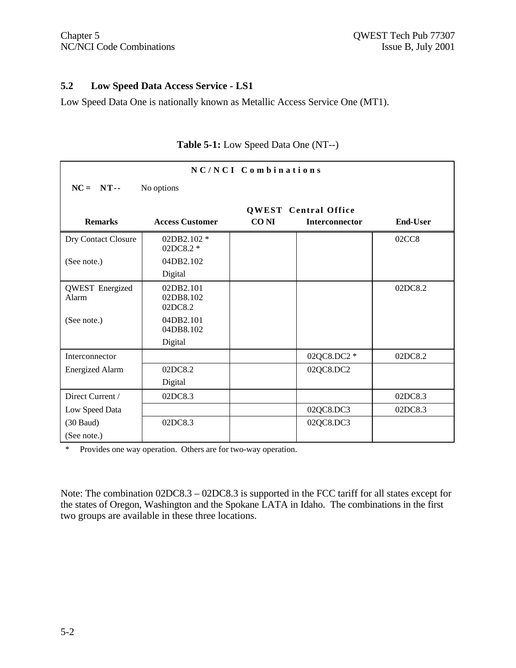#### **5.2 Low Speed Data Access Service - LS1**

Low Speed Data One is nationally known as Metallic Access Service One (MT1).

| NC/NCI Combinations             |                                   |             |                             |                   |
|---------------------------------|-----------------------------------|-------------|-----------------------------|-------------------|
| $NC = NT -$<br>No options       |                                   |             |                             |                   |
|                                 |                                   |             | <b>QWEST</b> Central Office |                   |
| <b>Remarks</b>                  | <b>Access Customer</b>            | <b>CONI</b> | <b>Interconnector</b>       | <b>End-User</b>   |
| Dry Contact Closure             | 02DB2.102 *<br>02DC8.2 *          |             |                             | 02CC <sub>8</sub> |
| (See note.)                     | 04DB2.102                         |             |                             |                   |
|                                 | Digital                           |             |                             |                   |
| <b>QWEST</b> Energized<br>Alarm | 02DB2.101<br>02DB8.102<br>02DC8.2 |             |                             | 02DC8.2           |
| (See note.)                     | 04DB2.101<br>04DB8.102            |             |                             |                   |
|                                 | Digital                           |             |                             |                   |
| Interconnector                  |                                   |             | 02QC8.DC2 *                 | 02DC8.2           |
| <b>Energized Alarm</b>          | 02DC8.2                           |             | 02QC8.DC2                   |                   |
|                                 | Digital                           |             |                             |                   |
| Direct Current /                | 02DC8.3                           |             |                             | 02DC8.3           |
| Low Speed Data                  |                                   |             | 02QC8.DC3                   | 02DC8.3           |
| $(30$ Baud)                     | 02DC8.3                           |             | 02QC8.DC3                   |                   |
| (See note.)                     |                                   |             |                             |                   |

# **Table 5-1:** Low Speed Data One (NT--)

\* Provides one way operation. Others are for two-way operation.

Note: The combination 02DC8.3 – 02DC8.3 is supported in the FCC tariff for all states except for the states of Oregon, Washington and the Spokane LATA in Idaho. The combinations in the first two groups are available in these three locations.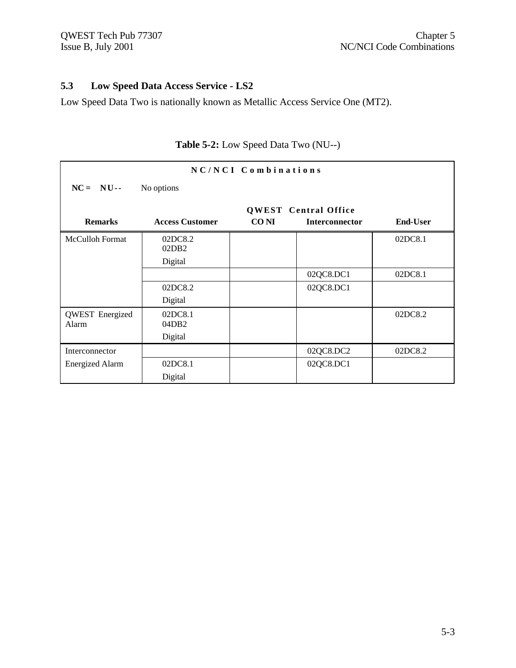# **5.3 Low Speed Data Access Service - LS2**

Low Speed Data Two is nationally known as Metallic Access Service One (MT2).

| NC/NCI Combinations             |                        |             |                                                      |                 |
|---------------------------------|------------------------|-------------|------------------------------------------------------|-----------------|
| $NC = NU -$                     | No options             |             |                                                      |                 |
| <b>Remarks</b>                  | <b>Access Customer</b> | <b>CONI</b> | <b>QWEST</b> Central Office<br><b>Interconnector</b> | <b>End-User</b> |
| McCulloh Format                 | 02DC8.2<br>02DB2       |             |                                                      | 02DC8.1         |
|                                 | Digital                |             |                                                      |                 |
|                                 |                        |             | 02QC8.DC1                                            | 02DC8.1         |
|                                 | 02DC8.2                |             | 02QC8.DC1                                            |                 |
|                                 | Digital                |             |                                                      |                 |
| <b>QWEST</b> Energized<br>Alarm | 02DC8.1<br>04DB2       |             |                                                      | 02DC8.2         |
|                                 | Digital                |             |                                                      |                 |
| Interconnector                  |                        |             | 02QC8.DC2                                            | 02DC8.2         |
| <b>Energized Alarm</b>          | 02DC8.1                |             | 02QC8.DC1                                            |                 |
|                                 | Digital                |             |                                                      |                 |

# **Table 5-2:** Low Speed Data Two (NU--)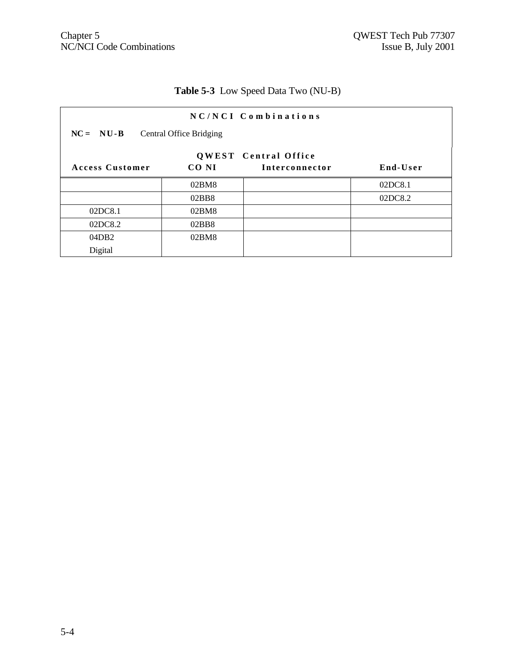# **Table 5-3** Low Speed Data Two (NU-B)

|                        |                                | NC/NCI Combinations                           |          |
|------------------------|--------------------------------|-----------------------------------------------|----------|
| $NC = NU-B$            | <b>Central Office Bridging</b> |                                               |          |
| <b>Access Customer</b> | CO NI                          | <b>QWEST</b> Central Office<br>Interconnector | End-User |
|                        | 02BM8                          |                                               | 02DC8.1  |
|                        | 02BB8                          |                                               | 02DC8.2  |
| 02DC8.1                | 02BM8                          |                                               |          |
| 02DC8.2                | 02BB8                          |                                               |          |
| 04DB2                  | 02BM8                          |                                               |          |
| Digital                |                                |                                               |          |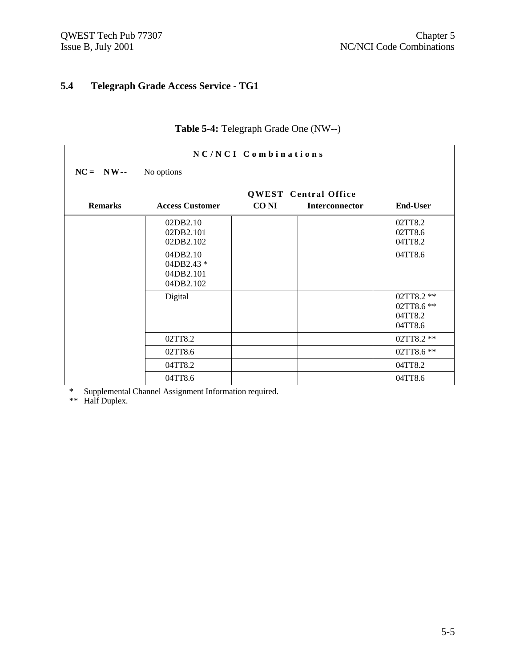# **5.4 Telegraph Grade Access Service - TG1**

| NC/NCI Combinations |                                                  |             |                                               |                                                |
|---------------------|--------------------------------------------------|-------------|-----------------------------------------------|------------------------------------------------|
| $NC = NW -$         | No options                                       |             |                                               |                                                |
| <b>Remarks</b>      | <b>Access Customer</b>                           | <b>CONI</b> | <b>QWEST</b> Central Office<br>Interconnector | <b>End-User</b>                                |
|                     | 02DB2.10<br>02DB2.101<br>02DB2.102               |             |                                               | 02TT8.2<br>02TT8.6<br>04TT8.2                  |
|                     | 04DB2.10<br>04DB2.43 *<br>04DB2.101<br>04DB2.102 |             |                                               | 04TT8.6                                        |
|                     | Digital                                          |             |                                               | 02TT8.2 **<br>02TT8.6 **<br>04TT8.2<br>04TT8.6 |
|                     | 02TT8.2                                          |             |                                               | 02TT8.2 **                                     |
|                     | 02TT8.6                                          |             |                                               | 02TT8.6 **                                     |
|                     | 04TT8.2                                          |             |                                               | 04TT8.2                                        |
|                     | 04TT8.6                                          |             |                                               | 04TT8.6                                        |

# **Table 5-4:** Telegraph Grade One (NW--)

\* Supplemental Channel Assignment Information required.

\*\* Half Duplex.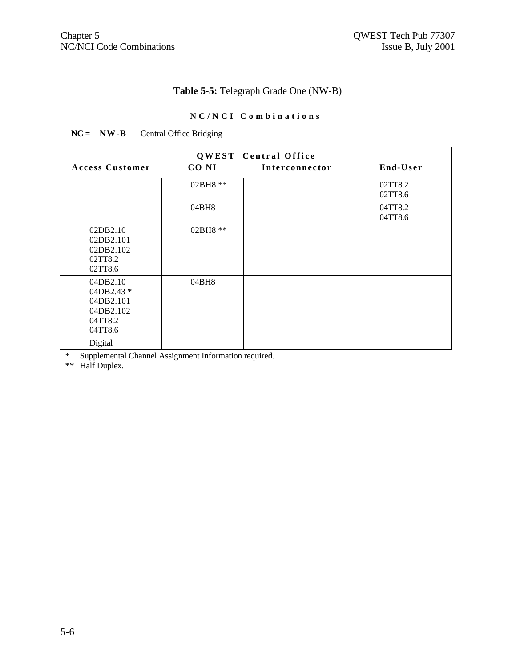# **Table 5-5:** Telegraph Grade One (NW-B)

| NC/NCI Combinations                                                               |          |                                               |                    |  |  |  |
|-----------------------------------------------------------------------------------|----------|-----------------------------------------------|--------------------|--|--|--|
| $NC = NW - B$ Central Office Bridging                                             |          |                                               |                    |  |  |  |
| <b>Access Customer</b>                                                            | CO NI    | <b>QWEST</b> Central Office<br>Interconnector | End-User           |  |  |  |
|                                                                                   |          |                                               |                    |  |  |  |
|                                                                                   | 02BH8 ** |                                               | 02TT8.2<br>02TT8.6 |  |  |  |
|                                                                                   | 04BH8    |                                               | 04TT8.2<br>04TT8.6 |  |  |  |
| 02DB2.10<br>02DB2.101<br>02DB2.102<br>02TT8.2<br>02TT8.6                          | 02BH8 ** |                                               |                    |  |  |  |
| 04DB2.10<br>04DB2.43 *<br>04DB2.101<br>04DB2.102<br>04TT8.2<br>04TT8.6<br>Digital | 04BH8    |                                               |                    |  |  |  |

\* Supplemental Channel Assignment Information required.

\*\* Half Duplex.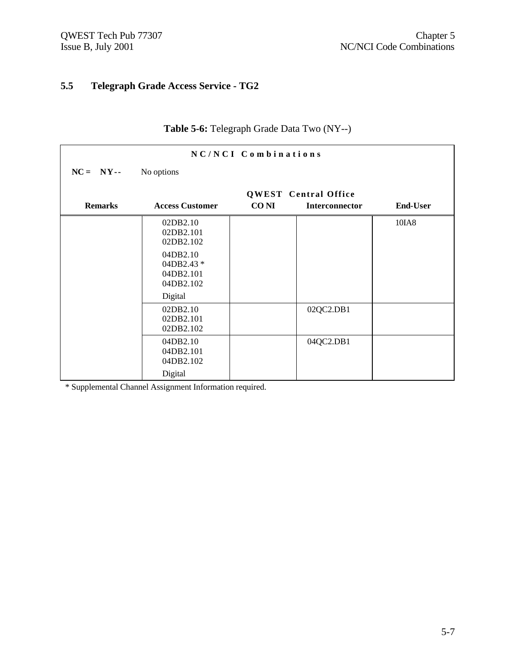# **5.5 Telegraph Grade Access Service - TG2**

| NC/NCI Combinations         |                                                  |             |                                                      |                 |  |
|-----------------------------|--------------------------------------------------|-------------|------------------------------------------------------|-----------------|--|
| $NC = NY - -$<br>No options |                                                  |             |                                                      |                 |  |
| <b>Remarks</b>              | <b>Access Customer</b>                           | <b>CONI</b> | <b>QWEST</b> Central Office<br><b>Interconnector</b> | <b>End-User</b> |  |
|                             | 02DB2.10<br>02DB2.101<br>02DB2.102               |             |                                                      | 10IA8           |  |
|                             | 04DB2.10<br>04DB2.43 *<br>04DB2.101<br>04DB2.102 |             |                                                      |                 |  |
|                             | Digital                                          |             |                                                      |                 |  |
|                             | 02DB2.10<br>02DB2.101<br>02DB2.102               |             | 02QC2.DB1                                            |                 |  |
|                             | 04DB2.10<br>04DB2.101<br>04DB2.102               |             | 04QC2.DB1                                            |                 |  |
|                             | Digital                                          |             |                                                      |                 |  |

# **Table 5-6:** Telegraph Grade Data Two (NY--)

\* Supplemental Channel Assignment Information required.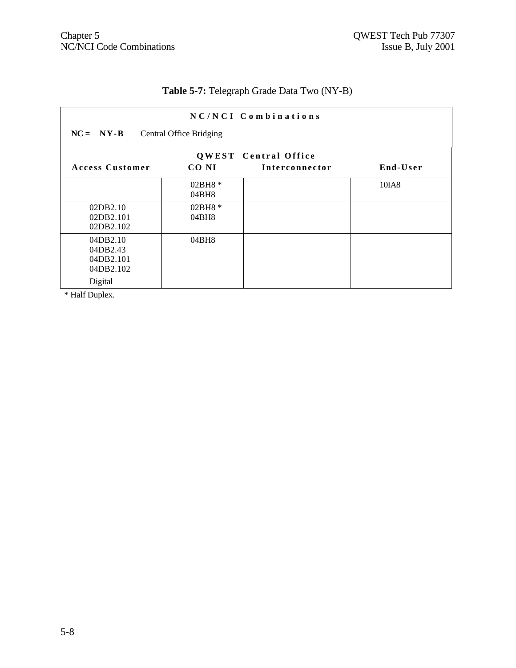# **Table 5-7:** Telegraph Grade Data Two (NY-B)

|                                                |                                | NC/NCI Combinations         |          |
|------------------------------------------------|--------------------------------|-----------------------------|----------|
| $NC = NY-B$                                    | <b>Central Office Bridging</b> |                             |          |
|                                                |                                | <b>QWEST</b> Central Office |          |
| <b>Access Customer</b>                         | CO NI                          | Interconnector              | End-User |
|                                                | 02BH8 *<br>04BH8               |                             | 10IA8    |
| 02DB2.10<br>02DB2.101<br>02DB2.102             | $02BH8*$<br>04BH8              |                             |          |
| 04DB2.10<br>04DB2.43<br>04DB2.101<br>04DB2.102 | 04BH8                          |                             |          |
| Digital                                        |                                |                             |          |

\* Half Duplex.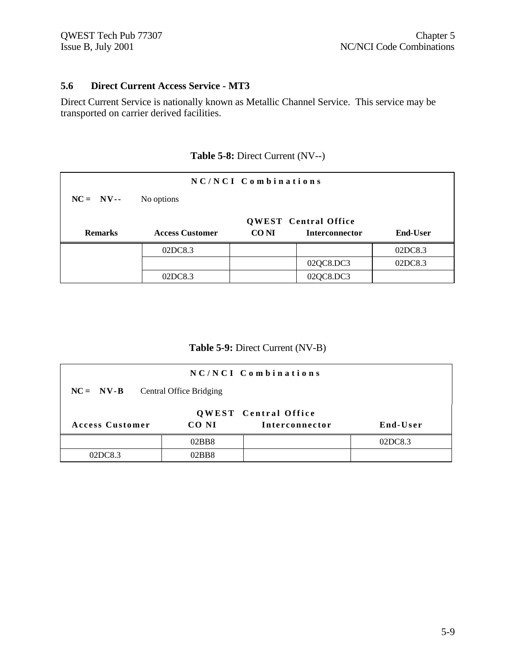#### **5.6 Direct Current Access Service - MT3**

Direct Current Service is nationally known as Metallic Channel Service. This service may be transported on carrier derived facilities.

|                |                        | NC/NCI Combinations |                             |                 |
|----------------|------------------------|---------------------|-----------------------------|-----------------|
| $NC = NV--$    | No options             |                     |                             |                 |
|                |                        |                     | <b>QWEST</b> Central Office |                 |
|                |                        |                     |                             |                 |
| <b>Remarks</b> | <b>Access Customer</b> | CO NI               | <b>Interconnector</b>       | <b>End-User</b> |
|                | 02DC8.3                |                     |                             | 02DC8.3         |
|                |                        |                     | 02QC8.DC3                   | 02DC8.3         |

# **Table 5-8:** Direct Current (NV--)

**Table 5-9:** Direct Current (NV-B)

|                        |                                | NC/NCI Combinations                           |          |
|------------------------|--------------------------------|-----------------------------------------------|----------|
| $NC = NV-B$            | <b>Central Office Bridging</b> |                                               |          |
| <b>Access Customer</b> | CO NI                          | <b>QWEST</b> Central Office<br>Interconnector | End-User |
|                        | 02BB8                          |                                               | 02DC8.3  |
| 02DC8.3                | 02BB8                          |                                               |          |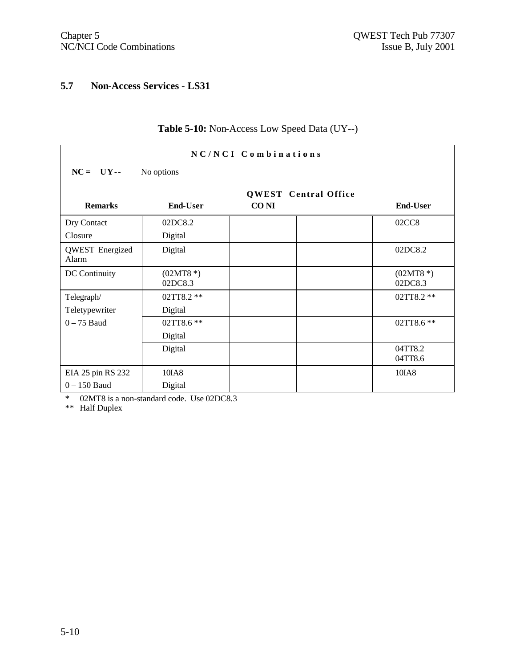# **5.7 Non-Access Services - LS31**

| NC/NCI Combinations             |                       |             |                       |
|---------------------------------|-----------------------|-------------|-----------------------|
| $NC = UV -$<br>No options       |                       |             |                       |
| <b>QWEST</b> Central Office     |                       |             |                       |
| <b>Remarks</b>                  | <b>End-User</b>       | <b>CONI</b> | <b>End-User</b>       |
| Dry Contact                     | 02DC8.2               |             | 02CC8                 |
| Closure                         | Digital               |             |                       |
| <b>QWEST</b> Energized<br>Alarm | Digital               |             | 02DC8.2               |
| DC Continuity                   | $(02MT8*)$<br>02DC8.3 |             | $(02MT8*)$<br>02DC8.3 |
| Telegraph/                      | 02TT8.2 **            |             | 02TT8.2 **            |
| Teletypewriter                  | Digital               |             |                       |
| $0-75$ Baud                     | 02TT8.6 **            |             | 02TT8.6 **            |
|                                 | Digital               |             |                       |
|                                 | Digital               |             | 04TT8.2<br>04TT8.6    |
| EIA 25 pin RS 232               | 10IA8                 |             | 10IA8                 |
| $0 - 150$ Baud                  | Digital               |             |                       |

# **Table 5-10:** Non-Access Low Speed Data (UY--)

\* 02MT8 is a non-standard code. Use 02DC8.3

\*\* Half Duplex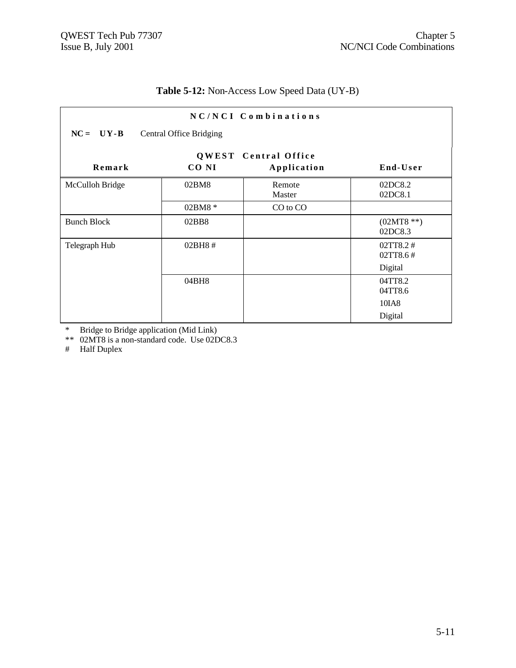|                    |                                | NC/NCI Combinations                        |                                 |
|--------------------|--------------------------------|--------------------------------------------|---------------------------------|
| $NC = UV-B$        | <b>Central Office Bridging</b> |                                            |                                 |
| Remark             | CO NI                          | <b>QWEST</b> Central Office<br>Application | End-User                        |
| McCulloh Bridge    | 02BM8                          | Remote<br>Master                           | 02DC8.2<br>02DC8.1              |
|                    | $02BM8*$                       | CO to CO                                   |                                 |
| <b>Bunch Block</b> | 02BB8                          |                                            | $(02MT8 **)$<br>02DC8.3         |
| Telegraph Hub      | 02BH8#                         |                                            | 02TT8.2#<br>02TT8.6#<br>Digital |
|                    | 04BH8                          |                                            | 04TT8.2<br>04TT8.6<br>10IA8     |
|                    |                                |                                            | Digital                         |

# **Table 5-12:** Non-Access Low Speed Data (UY-B)

\* Bridge to Bridge application (Mid Link)

\*\* 02MT8 is a non-standard code. Use 02DC8.3

# Half Duplex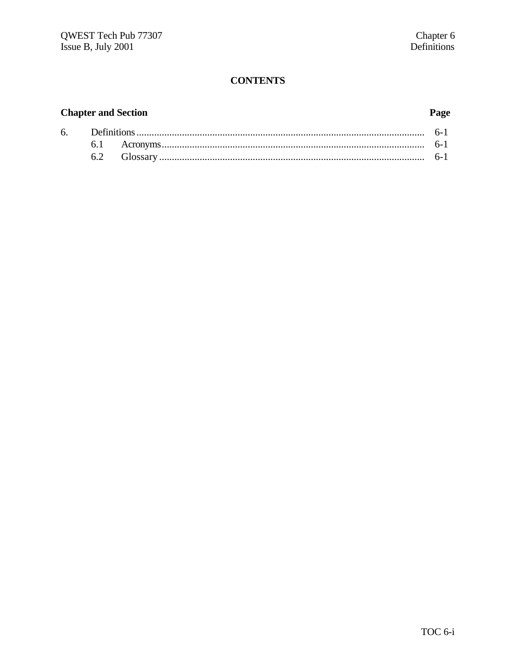# **CONTENTS**

# **Chapter and Section**

# Page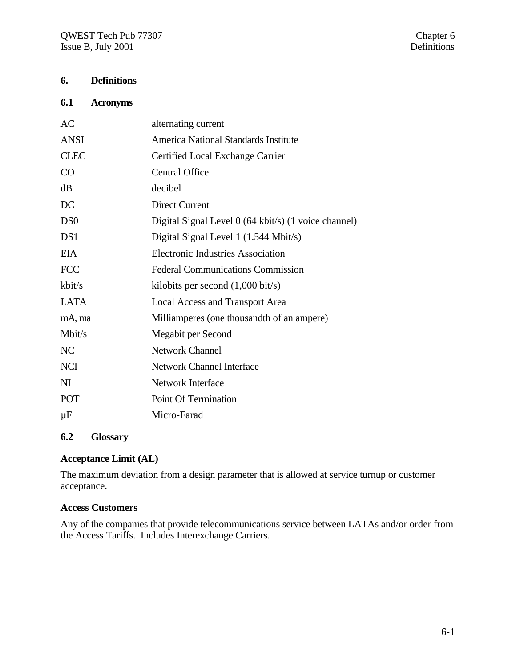# **6. Definitions**

#### **6.1 Acronyms**

| AC              | alternating current                                  |
|-----------------|------------------------------------------------------|
| <b>ANSI</b>     | America National Standards Institute                 |
| <b>CLEC</b>     | Certified Local Exchange Carrier                     |
| CO              | <b>Central Office</b>                                |
| dB              | decibel                                              |
| DC              | <b>Direct Current</b>                                |
| D <sub>S0</sub> | Digital Signal Level 0 (64 kbit/s) (1 voice channel) |
| DS1             | Digital Signal Level 1 (1.544 Mbit/s)                |
| <b>EIA</b>      | <b>Electronic Industries Association</b>             |
| <b>FCC</b>      | <b>Federal Communications Commission</b>             |
| kbit/s          | kilobits per second $(1,000 \text{ bit/s})$          |
| <b>LATA</b>     | <b>Local Access and Transport Area</b>               |
| mA, ma          | Milliamperes (one thousandth of an ampere)           |
| Mbit/s          | Megabit per Second                                   |
| NC              | <b>Network Channel</b>                               |
| <b>NCI</b>      | <b>Network Channel Interface</b>                     |
| N <sub>I</sub>  | Network Interface                                    |
| POT             | Point Of Termination                                 |
| $\mu$ F         | Micro-Farad                                          |
|                 |                                                      |

# **6.2 Glossary**

#### **Acceptance Limit (AL)**

The maximum deviation from a design parameter that is allowed at service turnup or customer acceptance.

## **Access Customers**

Any of the companies that provide telecommunications service between LATAs and/or order from the Access Tariffs. Includes Interexchange Carriers.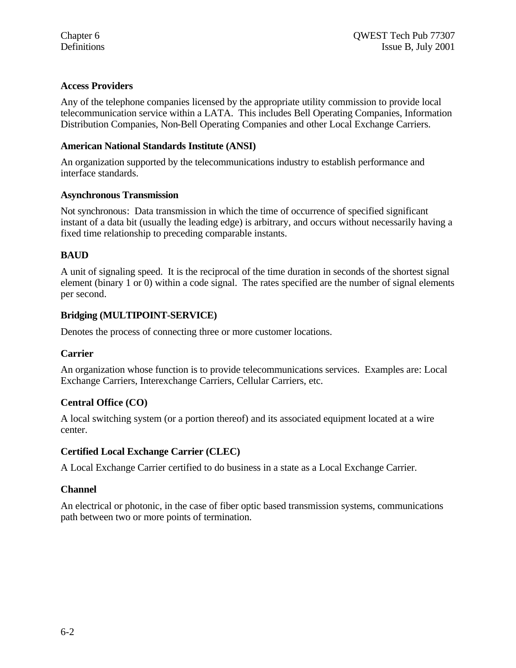# **Access Providers**

Any of the telephone companies licensed by the appropriate utility commission to provide local telecommunication service within a LATA. This includes Bell Operating Companies, Information Distribution Companies, Non-Bell Operating Companies and other Local Exchange Carriers.

## **American National Standards Institute (ANSI)**

An organization supported by the telecommunications industry to establish performance and interface standards.

#### **Asynchronous Transmission**

Not synchronous: Data transmission in which the time of occurrence of specified significant instant of a data bit (usually the leading edge) is arbitrary, and occurs without necessarily having a fixed time relationship to preceding comparable instants.

# **BAUD**

A unit of signaling speed. It is the reciprocal of the time duration in seconds of the shortest signal element (binary 1 or 0) within a code signal. The rates specified are the number of signal elements per second.

## **Bridging (MULTIPOINT-SERVICE)**

Denotes the process of connecting three or more customer locations.

## **Carrier**

An organization whose function is to provide telecommunications services. Examples are: Local Exchange Carriers, Interexchange Carriers, Cellular Carriers, etc.

## **Central Office (CO)**

A local switching system (or a portion thereof) and its associated equipment located at a wire center.

## **Certified Local Exchange Carrier (CLEC)**

A Local Exchange Carrier certified to do business in a state as a Local Exchange Carrier.

## **Channel**

An electrical or photonic, in the case of fiber optic based transmission systems, communications path between two or more points of termination.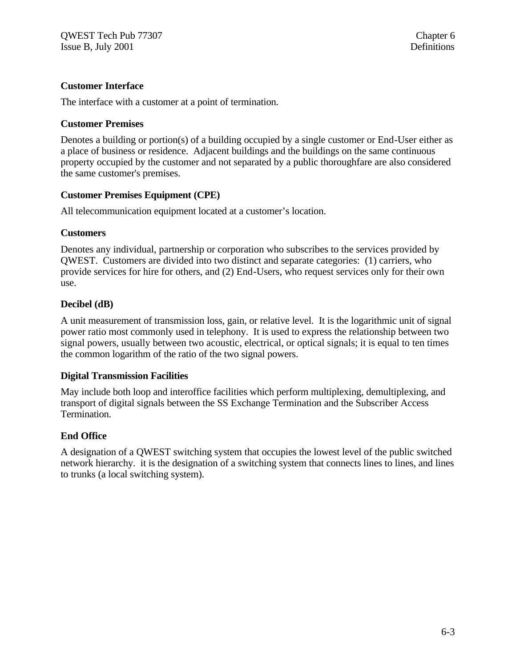#### **Customer Interface**

The interface with a customer at a point of termination.

#### **Customer Premises**

Denotes a building or portion(s) of a building occupied by a single customer or End-User either as a place of business or residence. Adjacent buildings and the buildings on the same continuous property occupied by the customer and not separated by a public thoroughfare are also considered the same customer's premises.

#### **Customer Premises Equipment (CPE)**

All telecommunication equipment located at a customer's location.

#### **Customers**

Denotes any individual, partnership or corporation who subscribes to the services provided by QWEST. Customers are divided into two distinct and separate categories: (1) carriers, who provide services for hire for others, and (2) End-Users, who request services only for their own use.

#### **Decibel (dB)**

A unit measurement of transmission loss, gain, or relative level. It is the logarithmic unit of signal power ratio most commonly used in telephony. It is used to express the relationship between two signal powers, usually between two acoustic, electrical, or optical signals; it is equal to ten times the common logarithm of the ratio of the two signal powers.

#### **Digital Transmission Facilities**

May include both loop and interoffice facilities which perform multiplexing, demultiplexing, and transport of digital signals between the SS Exchange Termination and the Subscriber Access Termination.

#### **End Office**

A designation of a QWEST switching system that occupies the lowest level of the public switched network hierarchy. it is the designation of a switching system that connects lines to lines, and lines to trunks (a local switching system).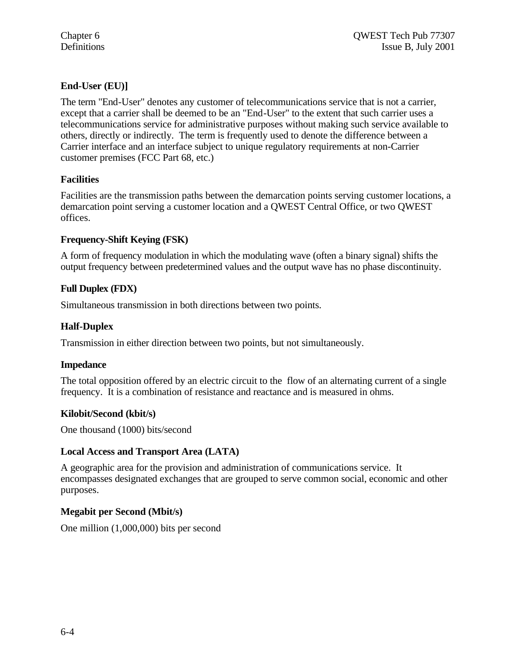# **End-User (EU)]**

The term "End-User" denotes any customer of telecommunications service that is not a carrier, except that a carrier shall be deemed to be an "End-User" to the extent that such carrier uses a telecommunications service for administrative purposes without making such service available to others, directly or indirectly. The term is frequently used to denote the difference between a Carrier interface and an interface subject to unique regulatory requirements at non-Carrier customer premises (FCC Part 68, etc.)

## **Facilities**

Facilities are the transmission paths between the demarcation points serving customer locations, a demarcation point serving a customer location and a QWEST Central Office, or two QWEST offices.

# **Frequency-Shift Keying (FSK)**

A form of frequency modulation in which the modulating wave (often a binary signal) shifts the output frequency between predetermined values and the output wave has no phase discontinuity.

# **Full Duplex (FDX)**

Simultaneous transmission in both directions between two points.

# **Half-Duplex**

Transmission in either direction between two points, but not simultaneously.

## **Impedance**

The total opposition offered by an electric circuit to the flow of an alternating current of a single frequency. It is a combination of resistance and reactance and is measured in ohms.

## **Kilobit/Second (kbit/s)**

One thousand (1000) bits/second

#### **Local Access and Transport Area (LATA)**

A geographic area for the provision and administration of communications service. It encompasses designated exchanges that are grouped to serve common social, economic and other purposes.

## **Megabit per Second (Mbit/s)**

One million (1,000,000) bits per second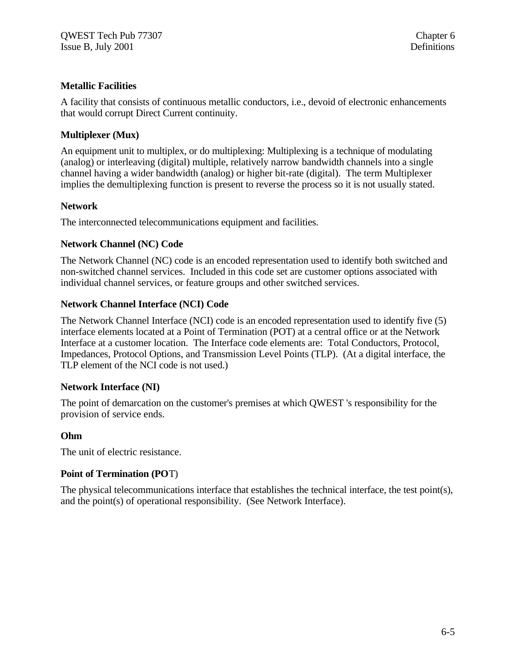## **Metallic Facilities**

A facility that consists of continuous metallic conductors, i.e., devoid of electronic enhancements that would corrupt Direct Current continuity.

# **Multiplexer (Mux)**

An equipment unit to multiplex, or do multiplexing: Multiplexing is a technique of modulating (analog) or interleaving (digital) multiple, relatively narrow bandwidth channels into a single channel having a wider bandwidth (analog) or higher bit-rate (digital). The term Multiplexer implies the demultiplexing function is present to reverse the process so it is not usually stated.

## **Network**

The interconnected telecommunications equipment and facilities.

# **Network Channel (NC) Code**

The Network Channel (NC) code is an encoded representation used to identify both switched and non-switched channel services. Included in this code set are customer options associated with individual channel services, or feature groups and other switched services.

# **Network Channel Interface (NCI) Code**

The Network Channel Interface (NCI) code is an encoded representation used to identify five (5) interface elements located at a Point of Termination (POT) at a central office or at the Network Interface at a customer location. The Interface code elements are: Total Conductors, Protocol, Impedances, Protocol Options, and Transmission Level Points (TLP). (At a digital interface, the TLP element of the NCI code is not used.)

## **Network Interface (NI)**

The point of demarcation on the customer's premises at which QWEST 's responsibility for the provision of service ends.

## **Ohm**

The unit of electric resistance.

## **Point of Termination (PO**T)

The physical telecommunications interface that establishes the technical interface, the test point(s), and the point(s) of operational responsibility. (See Network Interface).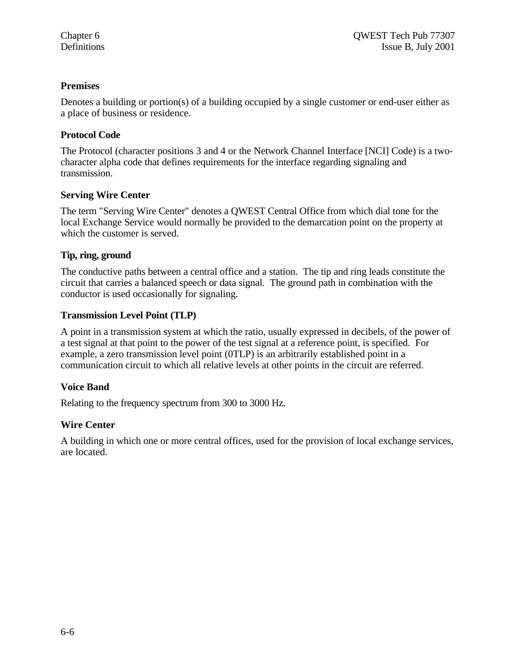#### **Premises**

Denotes a building or portion(s) of a building occupied by a single customer or end-user either as a place of business or residence.

#### **Protocol Code**

The Protocol (character positions 3 and 4 or the Network Channel Interface [NCI] Code) is a twocharacter alpha code that defines requirements for the interface regarding signaling and transmission.

#### **Serving Wire Center**

The term "Serving Wire Center" denotes a QWEST Central Office from which dial tone for the local Exchange Service would normally be provided to the demarcation point on the property at which the customer is served.

#### **Tip, ring, ground**

The conductive paths between a central office and a station. The tip and ring leads constitute the circuit that carries a balanced speech or data signal. The ground path in combination with the conductor is used occasionally for signaling.

#### **Transmission Level Point (TLP)**

A point in a transmission system at which the ratio, usually expressed in decibels, of the power of a test signal at that point to the power of the test signal at a reference point, is specified. For example, a zero transmission level point (0TLP) is an arbitrarily established point in a communication circuit to which all relative levels at other points in the circuit are referred.

## **Voice Band**

Relating to the frequency spectrum from 300 to 3000 Hz.

## **Wire Center**

A building in which one or more central offices, used for the provision of local exchange services, are located.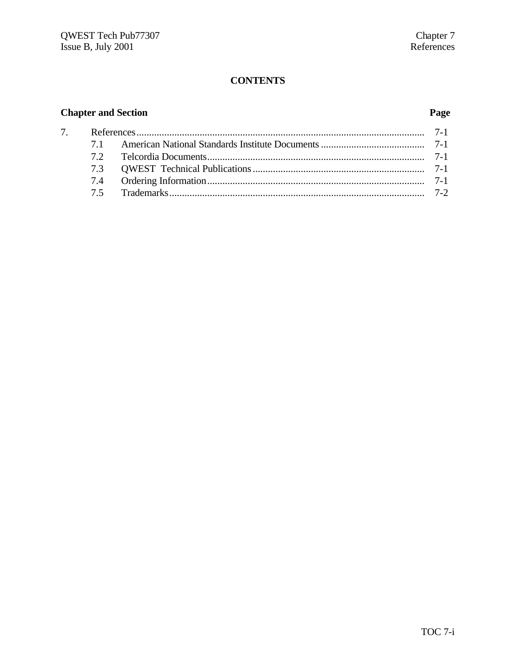# **CONTENTS**

# **Chapter and Section Page**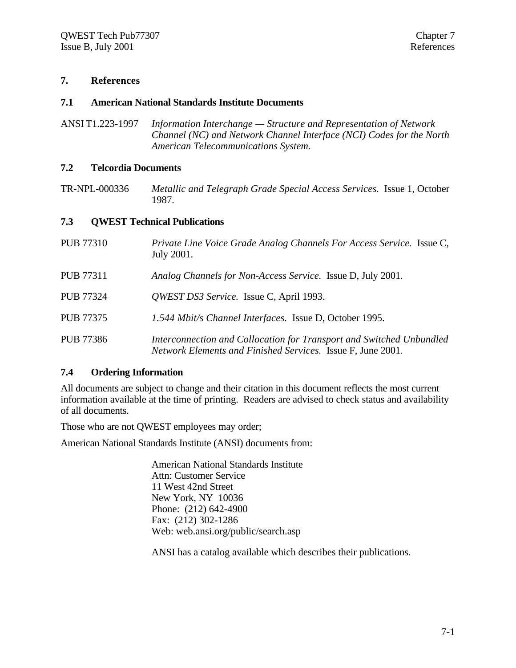#### **7. References**

#### **7.1 American National Standards Institute Documents**

ANSI T1.223-1997 *Information Interchange — Structure and Representation of Network Channel (NC) and Network Channel Interface (NCI) Codes for the North American Telecommunications System.*

#### **7.2 Telcordia Documents**

TR-NPL-000336 *Metallic and Telegraph Grade Special Access Services.* Issue 1, October 1987.

#### **7.3 QWEST Technical Publications**

| <b>PUB 77310</b> | Private Line Voice Grade Analog Channels For Access Service. Issue C,<br>July 2001.                                                 |
|------------------|-------------------------------------------------------------------------------------------------------------------------------------|
| <b>PUB 77311</b> | Analog Channels for Non-Access Service. Issue D, July 2001.                                                                         |
| <b>PUB 77324</b> | QWEST DS3 Service. Issue C, April 1993.                                                                                             |
| <b>PUB 77375</b> | 1.544 Mbit/s Channel Interfaces. Issue D, October 1995.                                                                             |
| <b>PUB 77386</b> | Interconnection and Collocation for Transport and Switched Unbundled<br>Network Elements and Finished Services. Issue F, June 2001. |

#### **7.4 Ordering Information**

All documents are subject to change and their citation in this document reflects the most current information available at the time of printing. Readers are advised to check status and availability of all documents.

Those who are not QWEST employees may order;

American National Standards Institute (ANSI) documents from:

American National Standards Institute Attn: Customer Service 11 West 42nd Street New York, NY 10036 Phone: (212) 642-4900 Fax: (212) 302-1286 Web: web.ansi.org/public/search.asp

ANSI has a catalog available which describes their publications.